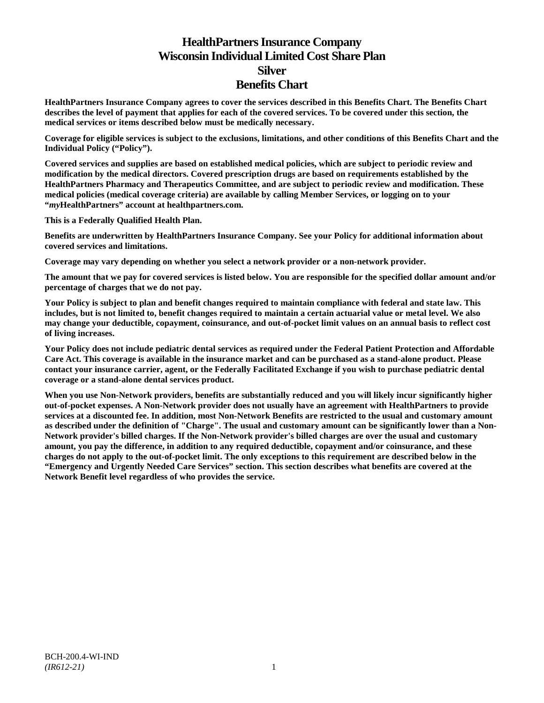# **HealthPartners Insurance Company Wisconsin Individual Limited Cost Share Plan Silver Benefits Chart**

**HealthPartners Insurance Company agrees to cover the services described in this Benefits Chart. The Benefits Chart describes the level of payment that applies for each of the covered services. To be covered under this section, the medical services or items described below must be medically necessary.**

**Coverage for eligible services is subject to the exclusions, limitations, and other conditions of this Benefits Chart and the Individual Policy ("Policy").**

**Covered services and supplies are based on established medical policies, which are subject to periodic review and modification by the medical directors. Covered prescription drugs are based on requirements established by the HealthPartners Pharmacy and Therapeutics Committee, and are subject to periodic review and modification. These medical policies (medical coverage criteria) are available by calling Member Services, or logging on to your "***my***HealthPartners" account at [healthpartners.com.](http://www.healthpartners.com/)**

**This is a Federally Qualified Health Plan.**

**Benefits are underwritten by HealthPartners Insurance Company. See your Policy for additional information about covered services and limitations.**

**Coverage may vary depending on whether you select a network provider or a non-network provider.**

**The amount that we pay for covered services is listed below. You are responsible for the specified dollar amount and/or percentage of charges that we do not pay.**

**Your Policy is subject to plan and benefit changes required to maintain compliance with federal and state law. This includes, but is not limited to, benefit changes required to maintain a certain actuarial value or metal level. We also may change your deductible, copayment, coinsurance, and out-of-pocket limit values on an annual basis to reflect cost of living increases.**

**Your Policy does not include pediatric dental services as required under the Federal Patient Protection and Affordable Care Act. This coverage is available in the insurance market and can be purchased as a stand-alone product. Please contact your insurance carrier, agent, or the Federally Facilitated Exchange if you wish to purchase pediatric dental coverage or a stand-alone dental services product.**

**When you use Non-Network providers, benefits are substantially reduced and you will likely incur significantly higher out-of-pocket expenses. A Non-Network provider does not usually have an agreement with HealthPartners to provide services at a discounted fee. In addition, most Non-Network Benefits are restricted to the usual and customary amount as described under the definition of "Charge". The usual and customary amount can be significantly lower than a Non-Network provider's billed charges. If the Non-Network provider's billed charges are over the usual and customary amount, you pay the difference, in addition to any required deductible, copayment and/or coinsurance, and these charges do not apply to the out-of-pocket limit. The only exceptions to this requirement are described below in the "Emergency and Urgently Needed Care Services" section. This section describes what benefits are covered at the Network Benefit level regardless of who provides the service.**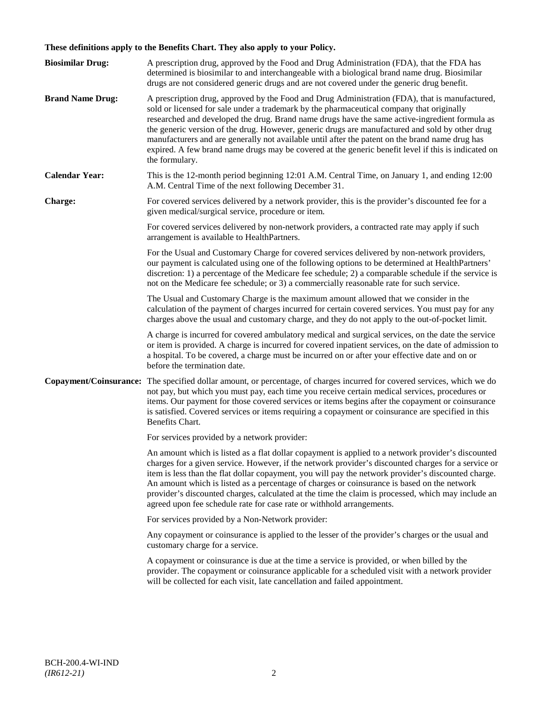# **These definitions apply to the Benefits Chart. They also apply to your Policy.**

| <b>Biosimilar Drug:</b> | A prescription drug, approved by the Food and Drug Administration (FDA), that the FDA has<br>determined is biosimilar to and interchangeable with a biological brand name drug. Biosimilar<br>drugs are not considered generic drugs and are not covered under the generic drug benefit.                                                                                                                                                                                                                                                                                                                                     |
|-------------------------|------------------------------------------------------------------------------------------------------------------------------------------------------------------------------------------------------------------------------------------------------------------------------------------------------------------------------------------------------------------------------------------------------------------------------------------------------------------------------------------------------------------------------------------------------------------------------------------------------------------------------|
| <b>Brand Name Drug:</b> | A prescription drug, approved by the Food and Drug Administration (FDA), that is manufactured,<br>sold or licensed for sale under a trademark by the pharmaceutical company that originally<br>researched and developed the drug. Brand name drugs have the same active-ingredient formula as<br>the generic version of the drug. However, generic drugs are manufactured and sold by other drug<br>manufacturers and are generally not available until after the patent on the brand name drug has<br>expired. A few brand name drugs may be covered at the generic benefit level if this is indicated on<br>the formulary. |
| <b>Calendar Year:</b>   | This is the 12-month period beginning 12:01 A.M. Central Time, on January 1, and ending 12:00<br>A.M. Central Time of the next following December 31.                                                                                                                                                                                                                                                                                                                                                                                                                                                                        |
| Charge:                 | For covered services delivered by a network provider, this is the provider's discounted fee for a<br>given medical/surgical service, procedure or item.                                                                                                                                                                                                                                                                                                                                                                                                                                                                      |
|                         | For covered services delivered by non-network providers, a contracted rate may apply if such<br>arrangement is available to HealthPartners.                                                                                                                                                                                                                                                                                                                                                                                                                                                                                  |
|                         | For the Usual and Customary Charge for covered services delivered by non-network providers,<br>our payment is calculated using one of the following options to be determined at HealthPartners'<br>discretion: 1) a percentage of the Medicare fee schedule; 2) a comparable schedule if the service is<br>not on the Medicare fee schedule; or 3) a commercially reasonable rate for such service.                                                                                                                                                                                                                          |
|                         | The Usual and Customary Charge is the maximum amount allowed that we consider in the<br>calculation of the payment of charges incurred for certain covered services. You must pay for any<br>charges above the usual and customary charge, and they do not apply to the out-of-pocket limit.                                                                                                                                                                                                                                                                                                                                 |
|                         | A charge is incurred for covered ambulatory medical and surgical services, on the date the service<br>or item is provided. A charge is incurred for covered inpatient services, on the date of admission to<br>a hospital. To be covered, a charge must be incurred on or after your effective date and on or<br>before the termination date.                                                                                                                                                                                                                                                                                |
| Copayment/Coinsurance:  | The specified dollar amount, or percentage, of charges incurred for covered services, which we do<br>not pay, but which you must pay, each time you receive certain medical services, procedures or<br>items. Our payment for those covered services or items begins after the copayment or coinsurance<br>is satisfied. Covered services or items requiring a copayment or coinsurance are specified in this<br>Benefits Chart.                                                                                                                                                                                             |
|                         | For services provided by a network provider:                                                                                                                                                                                                                                                                                                                                                                                                                                                                                                                                                                                 |
|                         | An amount which is listed as a flat dollar copayment is applied to a network provider's discounted<br>charges for a given service. However, if the network provider's discounted charges for a service or<br>item is less than the flat dollar copayment, you will pay the network provider's discounted charge.<br>An amount which is listed as a percentage of charges or coinsurance is based on the network<br>provider's discounted charges, calculated at the time the claim is processed, which may include an<br>agreed upon fee schedule rate for case rate or withhold arrangements.                               |
|                         | For services provided by a Non-Network provider:                                                                                                                                                                                                                                                                                                                                                                                                                                                                                                                                                                             |
|                         | Any copayment or coinsurance is applied to the lesser of the provider's charges or the usual and<br>customary charge for a service.                                                                                                                                                                                                                                                                                                                                                                                                                                                                                          |
|                         | A copayment or coinsurance is due at the time a service is provided, or when billed by the<br>provider. The copayment or coinsurance applicable for a scheduled visit with a network provider<br>will be collected for each visit, late cancellation and failed appointment.                                                                                                                                                                                                                                                                                                                                                 |
|                         |                                                                                                                                                                                                                                                                                                                                                                                                                                                                                                                                                                                                                              |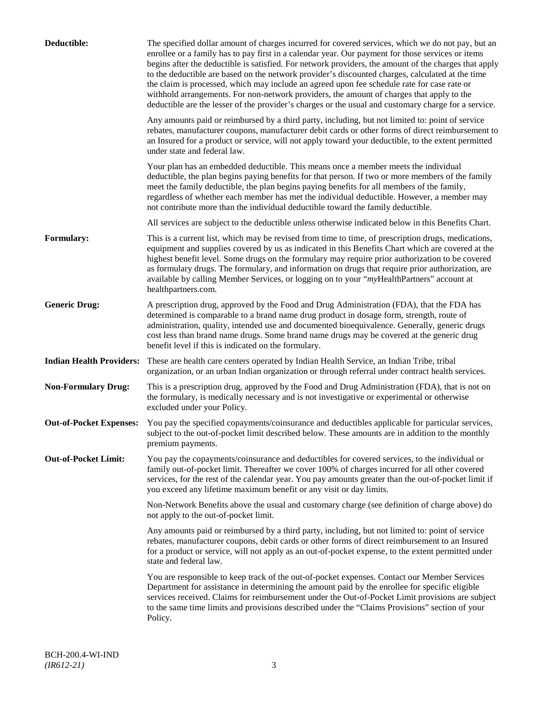| Deductible:                     | The specified dollar amount of charges incurred for covered services, which we do not pay, but an<br>enrollee or a family has to pay first in a calendar year. Our payment for those services or items<br>begins after the deductible is satisfied. For network providers, the amount of the charges that apply<br>to the deductible are based on the network provider's discounted charges, calculated at the time<br>the claim is processed, which may include an agreed upon fee schedule rate for case rate or<br>withhold arrangements. For non-network providers, the amount of charges that apply to the<br>deductible are the lesser of the provider's charges or the usual and customary charge for a service. |
|---------------------------------|-------------------------------------------------------------------------------------------------------------------------------------------------------------------------------------------------------------------------------------------------------------------------------------------------------------------------------------------------------------------------------------------------------------------------------------------------------------------------------------------------------------------------------------------------------------------------------------------------------------------------------------------------------------------------------------------------------------------------|
|                                 | Any amounts paid or reimbursed by a third party, including, but not limited to: point of service<br>rebates, manufacturer coupons, manufacturer debit cards or other forms of direct reimbursement to<br>an Insured for a product or service, will not apply toward your deductible, to the extent permitted<br>under state and federal law.                                                                                                                                                                                                                                                                                                                                                                            |
|                                 | Your plan has an embedded deductible. This means once a member meets the individual<br>deductible, the plan begins paying benefits for that person. If two or more members of the family<br>meet the family deductible, the plan begins paying benefits for all members of the family,<br>regardless of whether each member has met the individual deductible. However, a member may<br>not contribute more than the individual deductible toward the family deductible.                                                                                                                                                                                                                                                |
|                                 | All services are subject to the deductible unless otherwise indicated below in this Benefits Chart.                                                                                                                                                                                                                                                                                                                                                                                                                                                                                                                                                                                                                     |
| <b>Formulary:</b>               | This is a current list, which may be revised from time to time, of prescription drugs, medications,<br>equipment and supplies covered by us as indicated in this Benefits Chart which are covered at the<br>highest benefit level. Some drugs on the formulary may require prior authorization to be covered<br>as formulary drugs. The formulary, and information on drugs that require prior authorization, are<br>available by calling Member Services, or logging on to your "myHealthPartners" account at<br>healthpartners.com.                                                                                                                                                                                   |
| <b>Generic Drug:</b>            | A prescription drug, approved by the Food and Drug Administration (FDA), that the FDA has<br>determined is comparable to a brand name drug product in dosage form, strength, route of<br>administration, quality, intended use and documented bioequivalence. Generally, generic drugs<br>cost less than brand name drugs. Some brand name drugs may be covered at the generic drug<br>benefit level if this is indicated on the formulary.                                                                                                                                                                                                                                                                             |
| <b>Indian Health Providers:</b> | These are health care centers operated by Indian Health Service, an Indian Tribe, tribal<br>organization, or an urban Indian organization or through referral under contract health services.                                                                                                                                                                                                                                                                                                                                                                                                                                                                                                                           |
| <b>Non-Formulary Drug:</b>      | This is a prescription drug, approved by the Food and Drug Administration (FDA), that is not on<br>the formulary, is medically necessary and is not investigative or experimental or otherwise<br>excluded under your Policy.                                                                                                                                                                                                                                                                                                                                                                                                                                                                                           |
| <b>Out-of-Pocket Expenses:</b>  | You pay the specified copayments/coinsurance and deductibles applicable for particular services,<br>subject to the out-of-pocket limit described below. These amounts are in addition to the monthly<br>premium payments.                                                                                                                                                                                                                                                                                                                                                                                                                                                                                               |
| <b>Out-of-Pocket Limit:</b>     | You pay the copayments/coinsurance and deductibles for covered services, to the individual or<br>family out-of-pocket limit. Thereafter we cover 100% of charges incurred for all other covered<br>services, for the rest of the calendar year. You pay amounts greater than the out-of-pocket limit if<br>you exceed any lifetime maximum benefit or any visit or day limits.                                                                                                                                                                                                                                                                                                                                          |
|                                 | Non-Network Benefits above the usual and customary charge (see definition of charge above) do<br>not apply to the out-of-pocket limit.                                                                                                                                                                                                                                                                                                                                                                                                                                                                                                                                                                                  |
|                                 | Any amounts paid or reimbursed by a third party, including, but not limited to: point of service<br>rebates, manufacturer coupons, debit cards or other forms of direct reimbursement to an Insured<br>for a product or service, will not apply as an out-of-pocket expense, to the extent permitted under<br>state and federal law.                                                                                                                                                                                                                                                                                                                                                                                    |
|                                 | You are responsible to keep track of the out-of-pocket expenses. Contact our Member Services<br>Department for assistance in determining the amount paid by the enrollee for specific eligible<br>services received. Claims for reimbursement under the Out-of-Pocket Limit provisions are subject<br>to the same time limits and provisions described under the "Claims Provisions" section of your<br>Policy.                                                                                                                                                                                                                                                                                                         |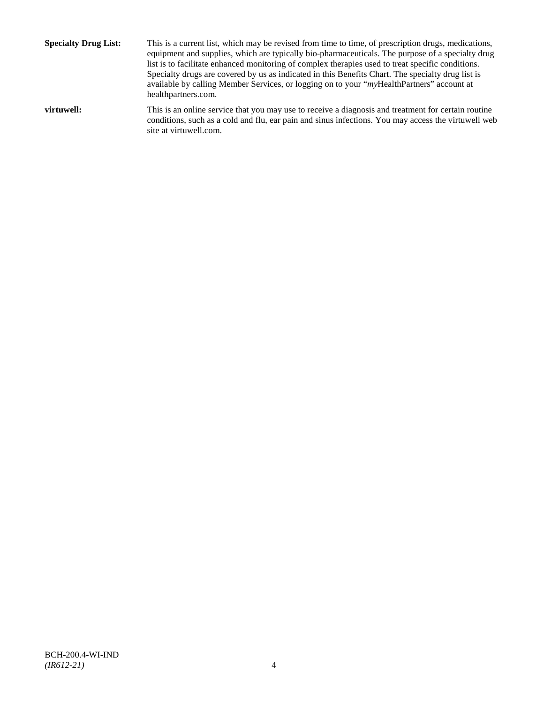**Specialty Drug List:** This is a current list, which may be revised from time to time, of prescription drugs, medications, equipment and supplies, which are typically bio-pharmaceuticals. The purpose of a specialty drug list is to facilitate enhanced monitoring of complex therapies used to treat specific conditions. Specialty drugs are covered by us as indicated in this Benefits Chart. The specialty drug list is available by calling Member Services, or logging on to your "*my*HealthPartners" account at [healthpartners.com.](http://www.healthpartners.com/) **virtuwell:** This is an online service that you may use to receive a diagnosis and treatment for certain routine conditions, such as a cold and flu, ear pain and sinus infections. You may access the virtuwell web

site a[t virtuwell.com.](http://www.virtuwell.com/)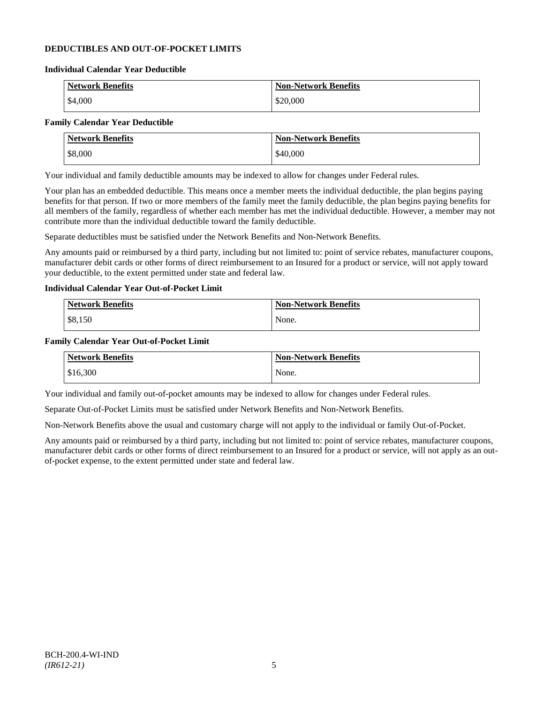# **DEDUCTIBLES AND OUT-OF-POCKET LIMITS**

#### **Individual Calendar Year Deductible**

| <b>Network Benefits</b> | <b>Non-Network Benefits</b> |
|-------------------------|-----------------------------|
| \$4,000                 | \$20,000                    |

# **Family Calendar Year Deductible**

| <b>Network Benefits</b> | <b>Non-Network Benefits</b> |
|-------------------------|-----------------------------|
| \$8,000                 | \$40,000                    |

Your individual and family deductible amounts may be indexed to allow for changes under Federal rules.

Your plan has an embedded deductible. This means once a member meets the individual deductible, the plan begins paying benefits for that person. If two or more members of the family meet the family deductible, the plan begins paying benefits for all members of the family, regardless of whether each member has met the individual deductible. However, a member may not contribute more than the individual deductible toward the family deductible.

Separate deductibles must be satisfied under the Network Benefits and Non-Network Benefits.

Any amounts paid or reimbursed by a third party, including but not limited to: point of service rebates, manufacturer coupons, manufacturer debit cards or other forms of direct reimbursement to an Insured for a product or service, will not apply toward your deductible, to the extent permitted under state and federal law.

# **Individual Calendar Year Out-of-Pocket Limit**

| Network Benefits | <b>Non-Network Benefits</b> |
|------------------|-----------------------------|
| \$8,150          | None.                       |

#### **Family Calendar Year Out-of-Pocket Limit**

| <b>Network Benefits</b> | <b>Non-Network Benefits</b> |
|-------------------------|-----------------------------|
| \$16,300                | None.                       |

Your individual and family out-of-pocket amounts may be indexed to allow for changes under Federal rules.

Separate Out-of-Pocket Limits must be satisfied under Network Benefits and Non-Network Benefits.

Non-Network Benefits above the usual and customary charge will not apply to the individual or family Out-of-Pocket.

Any amounts paid or reimbursed by a third party, including but not limited to: point of service rebates, manufacturer coupons, manufacturer debit cards or other forms of direct reimbursement to an Insured for a product or service, will not apply as an outof-pocket expense, to the extent permitted under state and federal law.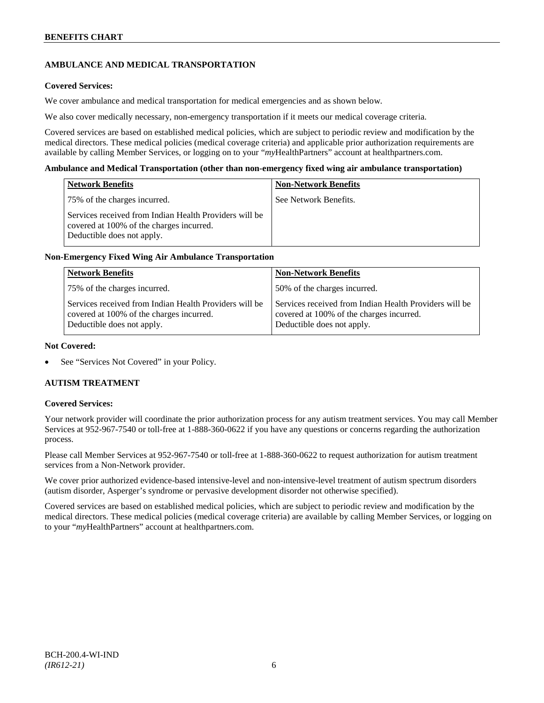# **AMBULANCE AND MEDICAL TRANSPORTATION**

# **Covered Services:**

We cover ambulance and medical transportation for medical emergencies and as shown below.

We also cover medically necessary, non-emergency transportation if it meets our medical coverage criteria.

Covered services are based on established medical policies, which are subject to periodic review and modification by the medical directors. These medical policies (medical coverage criteria) and applicable prior authorization requirements are available by calling Member Services, or logging on to your "*my*HealthPartners" account a[t healthpartners.com.](http://www.healthpartners.com/)

#### **Ambulance and Medical Transportation (other than non-emergency fixed wing air ambulance transportation)**

| <b>Network Benefits</b>                                                                                                          | <b>Non-Network Benefits</b> |
|----------------------------------------------------------------------------------------------------------------------------------|-----------------------------|
| 75% of the charges incurred.                                                                                                     | See Network Benefits.       |
| Services received from Indian Health Providers will be<br>covered at 100% of the charges incurred.<br>Deductible does not apply. |                             |

# **Non-Emergency Fixed Wing Air Ambulance Transportation**

| <b>Network Benefits</b>                                                                                                          | <b>Non-Network Benefits</b>                                                                                                      |
|----------------------------------------------------------------------------------------------------------------------------------|----------------------------------------------------------------------------------------------------------------------------------|
| 75% of the charges incurred.                                                                                                     | 50% of the charges incurred.                                                                                                     |
| Services received from Indian Health Providers will be<br>covered at 100% of the charges incurred.<br>Deductible does not apply. | Services received from Indian Health Providers will be<br>covered at 100% of the charges incurred.<br>Deductible does not apply. |

### **Not Covered:**

See "Services Not Covered" in your Policy.

# **AUTISM TREATMENT**

#### **Covered Services:**

Your network provider will coordinate the prior authorization process for any autism treatment services. You may call Member Services at 952-967-7540 or toll-free at 1-888-360-0622 if you have any questions or concerns regarding the authorization process.

Please call Member Services at 952-967-7540 or toll-free at 1-888-360-0622 to request authorization for autism treatment services from a Non-Network provider.

We cover prior authorized evidence-based intensive-level and non-intensive-level treatment of autism spectrum disorders (autism disorder, Asperger's syndrome or pervasive development disorder not otherwise specified).

Covered services are based on established medical policies, which are subject to periodic review and modification by the medical directors. These medical policies (medical coverage criteria) are available by calling Member Services, or logging on to your "*my*HealthPartners" account at [healthpartners.com.](http://www.healthpartners.com/)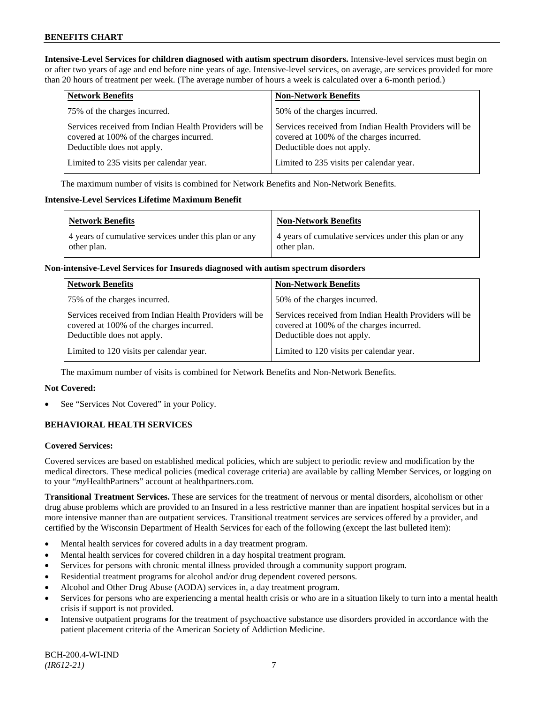**Intensive-Level Services for children diagnosed with autism spectrum disorders.** Intensive-level services must begin on or after two years of age and end before nine years of age. Intensive-level services, on average, are services provided for more than 20 hours of treatment per week. (The average number of hours a week is calculated over a 6-month period.)

| <b>Network Benefits</b>                                                                                                          | <b>Non-Network Benefits</b>                                                                                                      |
|----------------------------------------------------------------------------------------------------------------------------------|----------------------------------------------------------------------------------------------------------------------------------|
| 75% of the charges incurred.                                                                                                     | 50% of the charges incurred.                                                                                                     |
| Services received from Indian Health Providers will be<br>covered at 100% of the charges incurred.<br>Deductible does not apply. | Services received from Indian Health Providers will be<br>covered at 100% of the charges incurred.<br>Deductible does not apply. |
| Limited to 235 visits per calendar year.                                                                                         | Limited to 235 visits per calendar year.                                                                                         |

The maximum number of visits is combined for Network Benefits and Non-Network Benefits.

#### **Intensive-Level Services Lifetime Maximum Benefit**

| <b>Network Benefits</b>                                              | <b>Non-Network Benefits</b>                                          |
|----------------------------------------------------------------------|----------------------------------------------------------------------|
| 4 years of cumulative services under this plan or any<br>other plan. | 4 years of cumulative services under this plan or any<br>other plan. |

### **Non-intensive-Level Services for Insureds diagnosed with autism spectrum disorders**

| <b>Network Benefits</b>                                                                                                          | <b>Non-Network Benefits</b>                                                                                                      |
|----------------------------------------------------------------------------------------------------------------------------------|----------------------------------------------------------------------------------------------------------------------------------|
| 75% of the charges incurred.                                                                                                     | 50% of the charges incurred.                                                                                                     |
| Services received from Indian Health Providers will be<br>covered at 100% of the charges incurred.<br>Deductible does not apply. | Services received from Indian Health Providers will be<br>covered at 100% of the charges incurred.<br>Deductible does not apply. |
| Limited to 120 visits per calendar year.                                                                                         | Limited to 120 visits per calendar year.                                                                                         |

The maximum number of visits is combined for Network Benefits and Non-Network Benefits.

# **Not Covered:**

See "Services Not Covered" in your Policy.

# **BEHAVIORAL HEALTH SERVICES**

# **Covered Services:**

Covered services are based on established medical policies, which are subject to periodic review and modification by the medical directors. These medical policies (medical coverage criteria) are available by calling Member Services, or logging on to your "*my*HealthPartners" account at [healthpartners.com.](http://www.healthpartners.com/)

**Transitional Treatment Services.** These are services for the treatment of nervous or mental disorders, alcoholism or other drug abuse problems which are provided to an Insured in a less restrictive manner than are inpatient hospital services but in a more intensive manner than are outpatient services. Transitional treatment services are services offered by a provider, and certified by the Wisconsin Department of Health Services for each of the following (except the last bulleted item):

- Mental health services for covered adults in a day treatment program.
- Mental health services for covered children in a day hospital treatment program.
- Services for persons with chronic mental illness provided through a community support program.
- Residential treatment programs for alcohol and/or drug dependent covered persons.
- Alcohol and Other Drug Abuse (AODA) services in, a day treatment program.
- Services for persons who are experiencing a mental health crisis or who are in a situation likely to turn into a mental health crisis if support is not provided.
- Intensive outpatient programs for the treatment of psychoactive substance use disorders provided in accordance with the patient placement criteria of the American Society of Addiction Medicine.

BCH-200.4-WI-IND *(IR612-21)* 7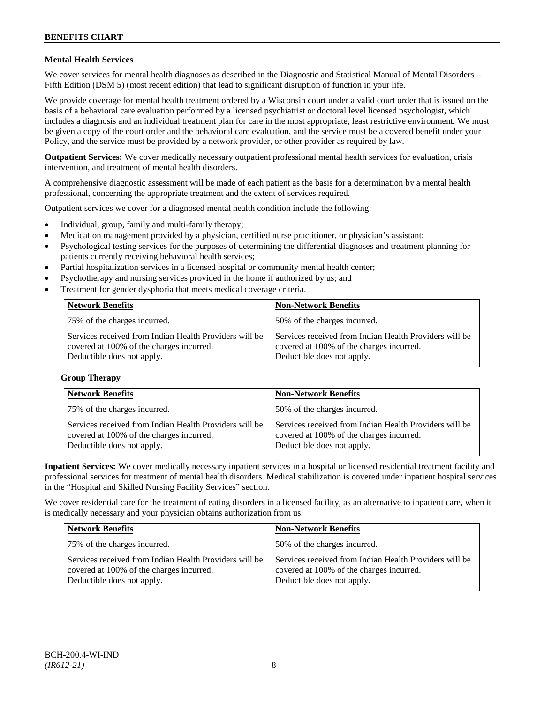# **Mental Health Services**

We cover services for mental health diagnoses as described in the Diagnostic and Statistical Manual of Mental Disorders – Fifth Edition (DSM 5) (most recent edition) that lead to significant disruption of function in your life.

We provide coverage for mental health treatment ordered by a Wisconsin court under a valid court order that is issued on the basis of a behavioral care evaluation performed by a licensed psychiatrist or doctoral level licensed psychologist, which includes a diagnosis and an individual treatment plan for care in the most appropriate, least restrictive environment. We must be given a copy of the court order and the behavioral care evaluation, and the service must be a covered benefit under your Policy, and the service must be provided by a network provider, or other provider as required by law.

**Outpatient Services:** We cover medically necessary outpatient professional mental health services for evaluation, crisis intervention, and treatment of mental health disorders.

A comprehensive diagnostic assessment will be made of each patient as the basis for a determination by a mental health professional, concerning the appropriate treatment and the extent of services required.

Outpatient services we cover for a diagnosed mental health condition include the following:

- Individual, group, family and multi-family therapy;
- Medication management provided by a physician, certified nurse practitioner, or physician's assistant;
- Psychological testing services for the purposes of determining the differential diagnoses and treatment planning for patients currently receiving behavioral health services;
- Partial hospitalization services in a licensed hospital or community mental health center;
- Psychotherapy and nursing services provided in the home if authorized by us; and
- Treatment for gender dysphoria that meets medical coverage criteria.

| <b>Network Benefits</b>                                                                                                          | <b>Non-Network Benefits</b>                                                                                                      |
|----------------------------------------------------------------------------------------------------------------------------------|----------------------------------------------------------------------------------------------------------------------------------|
| 75% of the charges incurred.                                                                                                     | 50% of the charges incurred.                                                                                                     |
| Services received from Indian Health Providers will be<br>covered at 100% of the charges incurred.<br>Deductible does not apply. | Services received from Indian Health Providers will be<br>covered at 100% of the charges incurred.<br>Deductible does not apply. |

#### **Group Therapy**

| <b>Network Benefits</b>                                                                                                          | <b>Non-Network Benefits</b>                                                                                                      |
|----------------------------------------------------------------------------------------------------------------------------------|----------------------------------------------------------------------------------------------------------------------------------|
| 75% of the charges incurred.                                                                                                     | 50% of the charges incurred.                                                                                                     |
| Services received from Indian Health Providers will be<br>covered at 100% of the charges incurred.<br>Deductible does not apply. | Services received from Indian Health Providers will be<br>covered at 100% of the charges incurred.<br>Deductible does not apply. |

**Inpatient Services:** We cover medically necessary inpatient services in a hospital or licensed residential treatment facility and professional services for treatment of mental health disorders. Medical stabilization is covered under inpatient hospital services in the "Hospital and Skilled Nursing Facility Services" section.

We cover residential care for the treatment of eating disorders in a licensed facility, as an alternative to inpatient care, when it is medically necessary and your physician obtains authorization from us.

| <b>Network Benefits</b>                                                                                                          | <b>Non-Network Benefits</b>                                                                                                      |
|----------------------------------------------------------------------------------------------------------------------------------|----------------------------------------------------------------------------------------------------------------------------------|
| 75% of the charges incurred.                                                                                                     | 50% of the charges incurred.                                                                                                     |
| Services received from Indian Health Providers will be<br>covered at 100% of the charges incurred.<br>Deductible does not apply. | Services received from Indian Health Providers will be<br>covered at 100% of the charges incurred.<br>Deductible does not apply. |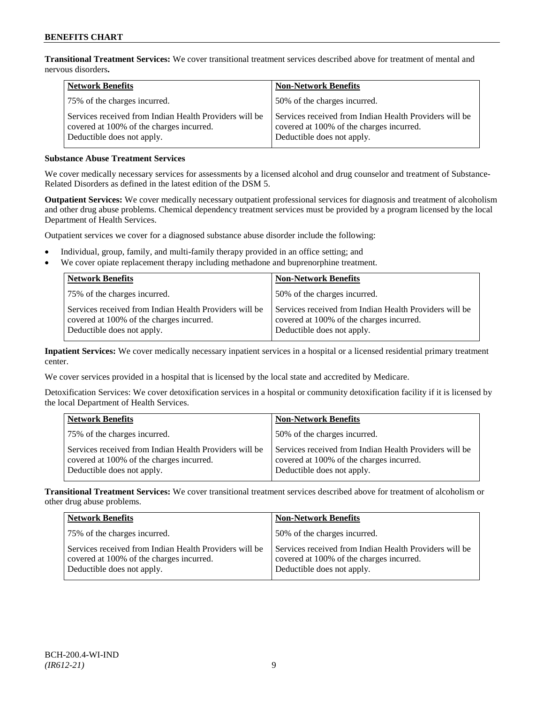**Transitional Treatment Services:** We cover transitional treatment services described above for treatment of mental and nervous disorders**.**

| <b>Network Benefits</b>                                                                                                          | <b>Non-Network Benefits</b>                                                                                                      |
|----------------------------------------------------------------------------------------------------------------------------------|----------------------------------------------------------------------------------------------------------------------------------|
| 75% of the charges incurred.                                                                                                     | 50% of the charges incurred.                                                                                                     |
| Services received from Indian Health Providers will be<br>covered at 100% of the charges incurred.<br>Deductible does not apply. | Services received from Indian Health Providers will be<br>covered at 100% of the charges incurred.<br>Deductible does not apply. |

# **Substance Abuse Treatment Services**

We cover medically necessary services for assessments by a licensed alcohol and drug counselor and treatment of Substance-Related Disorders as defined in the latest edition of the DSM 5.

**Outpatient Services:** We cover medically necessary outpatient professional services for diagnosis and treatment of alcoholism and other drug abuse problems. Chemical dependency treatment services must be provided by a program licensed by the local Department of Health Services.

Outpatient services we cover for a diagnosed substance abuse disorder include the following:

- Individual, group, family, and multi-family therapy provided in an office setting; and
- We cover opiate replacement therapy including methadone and buprenorphine treatment.

| <b>Network Benefits</b>                                                                                                          | <b>Non-Network Benefits</b>                                                                                                      |
|----------------------------------------------------------------------------------------------------------------------------------|----------------------------------------------------------------------------------------------------------------------------------|
| 75% of the charges incurred.                                                                                                     | 50% of the charges incurred.                                                                                                     |
| Services received from Indian Health Providers will be<br>covered at 100% of the charges incurred.<br>Deductible does not apply. | Services received from Indian Health Providers will be<br>covered at 100% of the charges incurred.<br>Deductible does not apply. |

**Inpatient Services:** We cover medically necessary inpatient services in a hospital or a licensed residential primary treatment center.

We cover services provided in a hospital that is licensed by the local state and accredited by Medicare.

Detoxification Services: We cover detoxification services in a hospital or community detoxification facility if it is licensed by the local Department of Health Services.

| <b>Network Benefits</b>                                                                                                          | <b>Non-Network Benefits</b>                                                                                                      |
|----------------------------------------------------------------------------------------------------------------------------------|----------------------------------------------------------------------------------------------------------------------------------|
| 75% of the charges incurred.                                                                                                     | 50% of the charges incurred.                                                                                                     |
| Services received from Indian Health Providers will be<br>covered at 100% of the charges incurred.<br>Deductible does not apply. | Services received from Indian Health Providers will be<br>covered at 100% of the charges incurred.<br>Deductible does not apply. |

**Transitional Treatment Services:** We cover transitional treatment services described above for treatment of alcoholism or other drug abuse problems.

| <b>Network Benefits</b>                                                                                                          | <b>Non-Network Benefits</b>                                                                                                      |
|----------------------------------------------------------------------------------------------------------------------------------|----------------------------------------------------------------------------------------------------------------------------------|
| 75% of the charges incurred.                                                                                                     | 50% of the charges incurred.                                                                                                     |
| Services received from Indian Health Providers will be<br>covered at 100% of the charges incurred.<br>Deductible does not apply. | Services received from Indian Health Providers will be<br>covered at 100% of the charges incurred.<br>Deductible does not apply. |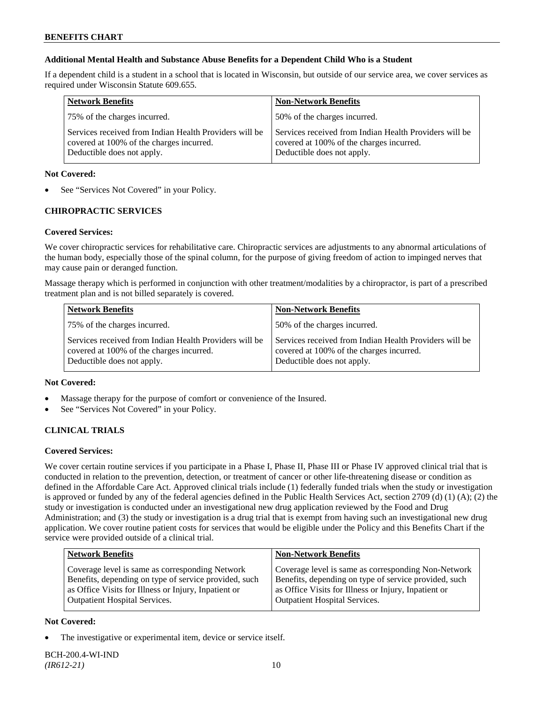# **Additional Mental Health and Substance Abuse Benefits for a Dependent Child Who is a Student**

If a dependent child is a student in a school that is located in Wisconsin, but outside of our service area, we cover services as required under Wisconsin Statute 609.655.

| <b>Network Benefits</b>                                                                                                          | <b>Non-Network Benefits</b>                                                                                                      |
|----------------------------------------------------------------------------------------------------------------------------------|----------------------------------------------------------------------------------------------------------------------------------|
| 75% of the charges incurred.                                                                                                     | 50% of the charges incurred.                                                                                                     |
| Services received from Indian Health Providers will be<br>covered at 100% of the charges incurred.<br>Deductible does not apply. | Services received from Indian Health Providers will be<br>covered at 100% of the charges incurred.<br>Deductible does not apply. |

### **Not Covered:**

See "Services Not Covered" in your Policy.

# **CHIROPRACTIC SERVICES**

# **Covered Services:**

We cover chiropractic services for rehabilitative care. Chiropractic services are adjustments to any abnormal articulations of the human body, especially those of the spinal column, for the purpose of giving freedom of action to impinged nerves that may cause pain or deranged function.

Massage therapy which is performed in conjunction with other treatment/modalities by a chiropractor, is part of a prescribed treatment plan and is not billed separately is covered.

| <b>Network Benefits</b>                                                                                                          | <b>Non-Network Benefits</b>                                                                                                      |
|----------------------------------------------------------------------------------------------------------------------------------|----------------------------------------------------------------------------------------------------------------------------------|
| 75% of the charges incurred.                                                                                                     | 50% of the charges incurred.                                                                                                     |
| Services received from Indian Health Providers will be<br>covered at 100% of the charges incurred.<br>Deductible does not apply. | Services received from Indian Health Providers will be<br>covered at 100% of the charges incurred.<br>Deductible does not apply. |

# **Not Covered:**

- Massage therapy for the purpose of comfort or convenience of the Insured.
- See "Services Not Covered" in your Policy.

# **CLINICAL TRIALS**

# **Covered Services:**

We cover certain routine services if you participate in a Phase I, Phase II, Phase III or Phase IV approved clinical trial that is conducted in relation to the prevention, detection, or treatment of cancer or other life-threatening disease or condition as defined in the Affordable Care Act. Approved clinical trials include (1) federally funded trials when the study or investigation is approved or funded by any of the federal agencies defined in the Public Health Services Act, section 2709 (d) (1) (A); (2) the study or investigation is conducted under an investigational new drug application reviewed by the Food and Drug Administration; and (3) the study or investigation is a drug trial that is exempt from having such an investigational new drug application. We cover routine patient costs for services that would be eligible under the Policy and this Benefits Chart if the service were provided outside of a clinical trial.

| <b>Network Benefits</b>                               | <b>Non-Network Benefits</b>                           |
|-------------------------------------------------------|-------------------------------------------------------|
| Coverage level is same as corresponding Network       | Coverage level is same as corresponding Non-Network   |
| Benefits, depending on type of service provided, such | Benefits, depending on type of service provided, such |
| as Office Visits for Illness or Injury, Inpatient or  | as Office Visits for Illness or Injury, Inpatient or  |
| <b>Outpatient Hospital Services.</b>                  | <b>Outpatient Hospital Services.</b>                  |

# **Not Covered:**

The investigative or experimental item, device or service itself.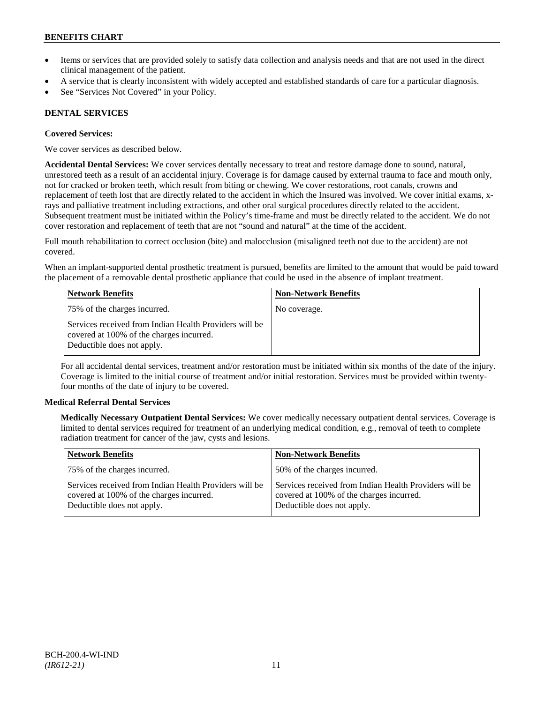- Items or services that are provided solely to satisfy data collection and analysis needs and that are not used in the direct clinical management of the patient.
- A service that is clearly inconsistent with widely accepted and established standards of care for a particular diagnosis.
- See "Services Not Covered" in your Policy.

# **DENTAL SERVICES**

# **Covered Services:**

We cover services as described below.

**Accidental Dental Services:** We cover services dentally necessary to treat and restore damage done to sound, natural, unrestored teeth as a result of an accidental injury. Coverage is for damage caused by external trauma to face and mouth only, not for cracked or broken teeth, which result from biting or chewing. We cover restorations, root canals, crowns and replacement of teeth lost that are directly related to the accident in which the Insured was involved. We cover initial exams, xrays and palliative treatment including extractions, and other oral surgical procedures directly related to the accident. Subsequent treatment must be initiated within the Policy's time-frame and must be directly related to the accident. We do not cover restoration and replacement of teeth that are not "sound and natural" at the time of the accident.

Full mouth rehabilitation to correct occlusion (bite) and malocclusion (misaligned teeth not due to the accident) are not covered.

When an implant-supported dental prosthetic treatment is pursued, benefits are limited to the amount that would be paid toward the placement of a removable dental prosthetic appliance that could be used in the absence of implant treatment.

| <b>Network Benefits</b>                                                                                                          | <b>Non-Network Benefits</b> |
|----------------------------------------------------------------------------------------------------------------------------------|-----------------------------|
| 75% of the charges incurred.                                                                                                     | No coverage.                |
| Services received from Indian Health Providers will be<br>covered at 100% of the charges incurred.<br>Deductible does not apply. |                             |

For all accidental dental services, treatment and/or restoration must be initiated within six months of the date of the injury. Coverage is limited to the initial course of treatment and/or initial restoration. Services must be provided within twentyfour months of the date of injury to be covered.

# **Medical Referral Dental Services**

**Medically Necessary Outpatient Dental Services:** We cover medically necessary outpatient dental services. Coverage is limited to dental services required for treatment of an underlying medical condition, e.g., removal of teeth to complete radiation treatment for cancer of the jaw, cysts and lesions.

| <b>Network Benefits</b>                                                                                                          | <b>Non-Network Benefits</b>                                                                                                      |
|----------------------------------------------------------------------------------------------------------------------------------|----------------------------------------------------------------------------------------------------------------------------------|
| 75% of the charges incurred.                                                                                                     | 50% of the charges incurred.                                                                                                     |
| Services received from Indian Health Providers will be<br>covered at 100% of the charges incurred.<br>Deductible does not apply. | Services received from Indian Health Providers will be<br>covered at 100% of the charges incurred.<br>Deductible does not apply. |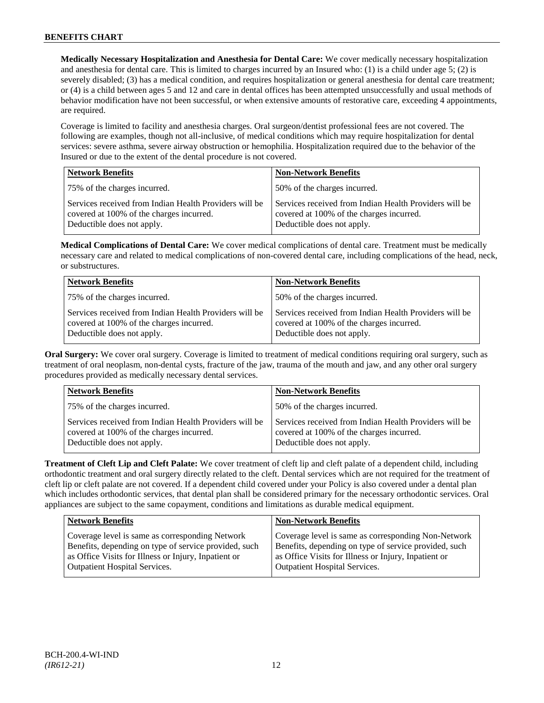**Medically Necessary Hospitalization and Anesthesia for Dental Care:** We cover medically necessary hospitalization and anesthesia for dental care. This is limited to charges incurred by an Insured who: (1) is a child under age  $5$ ; (2) is severely disabled; (3) has a medical condition, and requires hospitalization or general anesthesia for dental care treatment; or (4) is a child between ages 5 and 12 and care in dental offices has been attempted unsuccessfully and usual methods of behavior modification have not been successful, or when extensive amounts of restorative care, exceeding 4 appointments, are required.

Coverage is limited to facility and anesthesia charges. Oral surgeon/dentist professional fees are not covered. The following are examples, though not all-inclusive, of medical conditions which may require hospitalization for dental services: severe asthma, severe airway obstruction or hemophilia. Hospitalization required due to the behavior of the Insured or due to the extent of the dental procedure is not covered.

| <b>Network Benefits</b>                                                                                                          | <b>Non-Network Benefits</b>                                                                                                      |
|----------------------------------------------------------------------------------------------------------------------------------|----------------------------------------------------------------------------------------------------------------------------------|
| 75% of the charges incurred.                                                                                                     | 50% of the charges incurred.                                                                                                     |
| Services received from Indian Health Providers will be<br>covered at 100% of the charges incurred.<br>Deductible does not apply. | Services received from Indian Health Providers will be<br>covered at 100% of the charges incurred.<br>Deductible does not apply. |

**Medical Complications of Dental Care:** We cover medical complications of dental care. Treatment must be medically necessary care and related to medical complications of non-covered dental care, including complications of the head, neck, or substructures.

| <b>Network Benefits</b>                                                                                                          | <b>Non-Network Benefits</b>                                                                                                      |
|----------------------------------------------------------------------------------------------------------------------------------|----------------------------------------------------------------------------------------------------------------------------------|
| 75% of the charges incurred.                                                                                                     | 50% of the charges incurred.                                                                                                     |
| Services received from Indian Health Providers will be<br>covered at 100% of the charges incurred.<br>Deductible does not apply. | Services received from Indian Health Providers will be<br>covered at 100% of the charges incurred.<br>Deductible does not apply. |

**Oral Surgery:** We cover oral surgery. Coverage is limited to treatment of medical conditions requiring oral surgery, such as treatment of oral neoplasm, non-dental cysts, fracture of the jaw, trauma of the mouth and jaw, and any other oral surgery procedures provided as medically necessary dental services.

| <b>Network Benefits</b>                                                                                                          | <b>Non-Network Benefits</b>                                                                                                      |
|----------------------------------------------------------------------------------------------------------------------------------|----------------------------------------------------------------------------------------------------------------------------------|
| 75% of the charges incurred.                                                                                                     | 50% of the charges incurred.                                                                                                     |
| Services received from Indian Health Providers will be<br>covered at 100% of the charges incurred.<br>Deductible does not apply. | Services received from Indian Health Providers will be<br>covered at 100% of the charges incurred.<br>Deductible does not apply. |

**Treatment of Cleft Lip and Cleft Palate:** We cover treatment of cleft lip and cleft palate of a dependent child, including orthodontic treatment and oral surgery directly related to the cleft. Dental services which are not required for the treatment of cleft lip or cleft palate are not covered. If a dependent child covered under your Policy is also covered under a dental plan which includes orthodontic services, that dental plan shall be considered primary for the necessary orthodontic services. Oral appliances are subject to the same copayment, conditions and limitations as durable medical equipment.

| Network Benefits                                      | <b>Non-Network Benefits</b>                           |
|-------------------------------------------------------|-------------------------------------------------------|
| Coverage level is same as corresponding Network       | Coverage level is same as corresponding Non-Network   |
| Benefits, depending on type of service provided, such | Benefits, depending on type of service provided, such |
| as Office Visits for Illness or Injury, Inpatient or  | as Office Visits for Illness or Injury, Inpatient or  |
| Outpatient Hospital Services.                         | <b>Outpatient Hospital Services.</b>                  |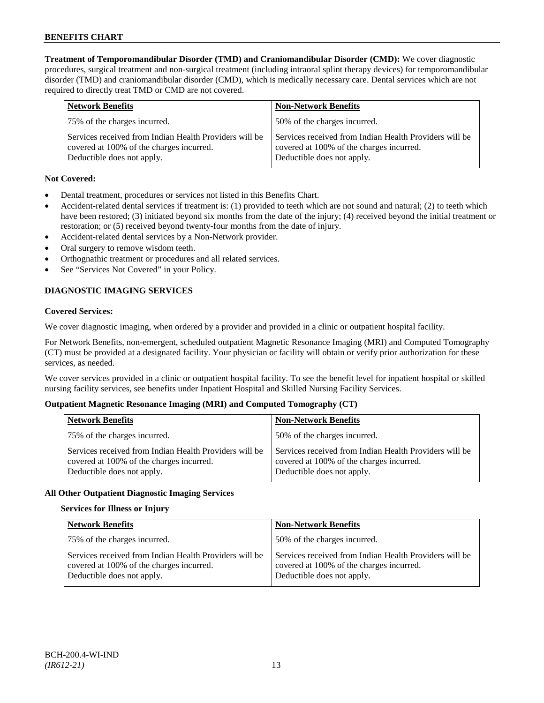**Treatment of Temporomandibular Disorder (TMD) and Craniomandibular Disorder (CMD):** We cover diagnostic procedures, surgical treatment and non-surgical treatment (including intraoral splint therapy devices) for temporomandibular disorder (TMD) and craniomandibular disorder (CMD), which is medically necessary care. Dental services which are not required to directly treat TMD or CMD are not covered.

| <b>Network Benefits</b>                                                                                                          | <b>Non-Network Benefits</b>                                                                                                      |
|----------------------------------------------------------------------------------------------------------------------------------|----------------------------------------------------------------------------------------------------------------------------------|
| 75% of the charges incurred.                                                                                                     | 50% of the charges incurred.                                                                                                     |
| Services received from Indian Health Providers will be<br>covered at 100% of the charges incurred.<br>Deductible does not apply. | Services received from Indian Health Providers will be<br>covered at 100% of the charges incurred.<br>Deductible does not apply. |

# **Not Covered:**

- Dental treatment, procedures or services not listed in this Benefits Chart.
- Accident-related dental services if treatment is: (1) provided to teeth which are not sound and natural; (2) to teeth which have been restored; (3) initiated beyond six months from the date of the injury; (4) received beyond the initial treatment or restoration; or (5) received beyond twenty-four months from the date of injury.
- Accident-related dental services by a Non-Network provider.
- Oral surgery to remove wisdom teeth.
- Orthognathic treatment or procedures and all related services.
- See "Services Not Covered" in your Policy.

# **DIAGNOSTIC IMAGING SERVICES**

#### **Covered Services:**

We cover diagnostic imaging, when ordered by a provider and provided in a clinic or outpatient hospital facility.

For Network Benefits, non-emergent, scheduled outpatient Magnetic Resonance Imaging (MRI) and Computed Tomography (CT) must be provided at a designated facility. Your physician or facility will obtain or verify prior authorization for these services, as needed.

We cover services provided in a clinic or outpatient hospital facility. To see the benefit level for inpatient hospital or skilled nursing facility services, see benefits under Inpatient Hospital and Skilled Nursing Facility Services.

# **Outpatient Magnetic Resonance Imaging (MRI) and Computed Tomography (CT)**

| <b>Network Benefits</b>                                                                                                          | <b>Non-Network Benefits</b>                                                                                                      |
|----------------------------------------------------------------------------------------------------------------------------------|----------------------------------------------------------------------------------------------------------------------------------|
| 75% of the charges incurred.                                                                                                     | 50% of the charges incurred.                                                                                                     |
| Services received from Indian Health Providers will be<br>covered at 100% of the charges incurred.<br>Deductible does not apply. | Services received from Indian Health Providers will be<br>covered at 100% of the charges incurred.<br>Deductible does not apply. |

# **All Other Outpatient Diagnostic Imaging Services**

# **Services for Illness or Injury**

| <b>Network Benefits</b>                                                                                                          | <b>Non-Network Benefits</b>                                                                                                      |
|----------------------------------------------------------------------------------------------------------------------------------|----------------------------------------------------------------------------------------------------------------------------------|
| 75% of the charges incurred.                                                                                                     | 50% of the charges incurred.                                                                                                     |
| Services received from Indian Health Providers will be<br>covered at 100% of the charges incurred.<br>Deductible does not apply. | Services received from Indian Health Providers will be<br>covered at 100% of the charges incurred.<br>Deductible does not apply. |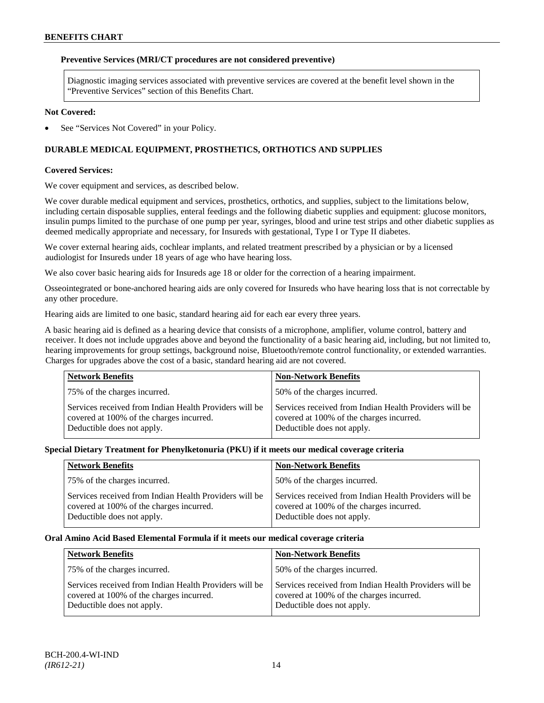### **Preventive Services (MRI/CT procedures are not considered preventive)**

Diagnostic imaging services associated with preventive services are covered at the benefit level shown in the "Preventive Services" section of this Benefits Chart.

#### **Not Covered:**

See "Services Not Covered" in your Policy.

# **DURABLE MEDICAL EQUIPMENT, PROSTHETICS, ORTHOTICS AND SUPPLIES**

#### **Covered Services:**

We cover equipment and services, as described below.

We cover durable medical equipment and services, prosthetics, orthotics, and supplies, subject to the limitations below, including certain disposable supplies, enteral feedings and the following diabetic supplies and equipment: glucose monitors, insulin pumps limited to the purchase of one pump per year, syringes, blood and urine test strips and other diabetic supplies as deemed medically appropriate and necessary, for Insureds with gestational, Type I or Type II diabetes.

We cover external hearing aids, cochlear implants, and related treatment prescribed by a physician or by a licensed audiologist for Insureds under 18 years of age who have hearing loss.

We also cover basic hearing aids for Insureds age 18 or older for the correction of a hearing impairment.

Osseointegrated or bone-anchored hearing aids are only covered for Insureds who have hearing loss that is not correctable by any other procedure.

Hearing aids are limited to one basic, standard hearing aid for each ear every three years.

A basic hearing aid is defined as a hearing device that consists of a microphone, amplifier, volume control, battery and receiver. It does not include upgrades above and beyond the functionality of a basic hearing aid, including, but not limited to, hearing improvements for group settings, background noise, Bluetooth/remote control functionality, or extended warranties. Charges for upgrades above the cost of a basic, standard hearing aid are not covered.

| <b>Network Benefits</b>                                                                                                          | <b>Non-Network Benefits</b>                                                                                                      |
|----------------------------------------------------------------------------------------------------------------------------------|----------------------------------------------------------------------------------------------------------------------------------|
| 75% of the charges incurred.                                                                                                     | 50% of the charges incurred.                                                                                                     |
| Services received from Indian Health Providers will be<br>covered at 100% of the charges incurred.<br>Deductible does not apply. | Services received from Indian Health Providers will be<br>covered at 100% of the charges incurred.<br>Deductible does not apply. |

#### **Special Dietary Treatment for Phenylketonuria (PKU) if it meets our medical coverage criteria**

| <b>Network Benefits</b>                                                                                                          | <b>Non-Network Benefits</b>                                                                                                      |
|----------------------------------------------------------------------------------------------------------------------------------|----------------------------------------------------------------------------------------------------------------------------------|
| 75% of the charges incurred.                                                                                                     | 50% of the charges incurred.                                                                                                     |
| Services received from Indian Health Providers will be<br>covered at 100% of the charges incurred.<br>Deductible does not apply. | Services received from Indian Health Providers will be<br>covered at 100% of the charges incurred.<br>Deductible does not apply. |

#### **Oral Amino Acid Based Elemental Formula if it meets our medical coverage criteria**

| <b>Network Benefits</b>                                                                                                          | <b>Non-Network Benefits</b>                                                                                                      |
|----------------------------------------------------------------------------------------------------------------------------------|----------------------------------------------------------------------------------------------------------------------------------|
| 75% of the charges incurred.                                                                                                     | 50% of the charges incurred.                                                                                                     |
| Services received from Indian Health Providers will be<br>covered at 100% of the charges incurred.<br>Deductible does not apply. | Services received from Indian Health Providers will be<br>covered at 100% of the charges incurred.<br>Deductible does not apply. |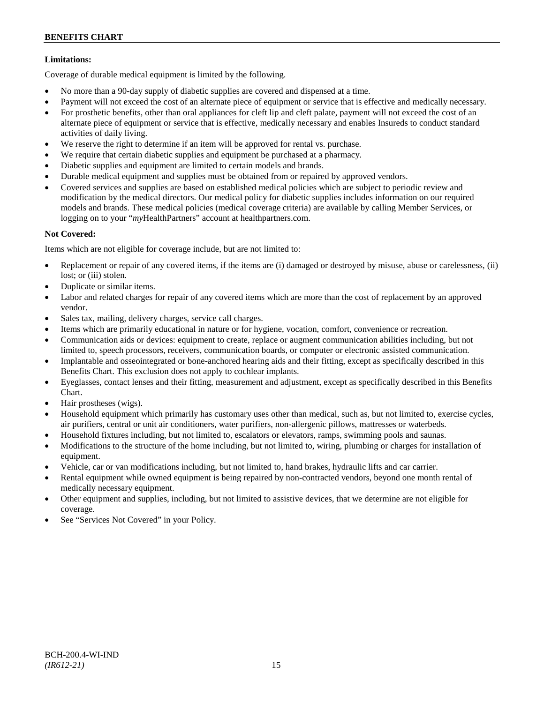# **Limitations:**

Coverage of durable medical equipment is limited by the following.

- No more than a 90-day supply of diabetic supplies are covered and dispensed at a time.
- Payment will not exceed the cost of an alternate piece of equipment or service that is effective and medically necessary.
- For prosthetic benefits, other than oral appliances for cleft lip and cleft palate, payment will not exceed the cost of an alternate piece of equipment or service that is effective, medically necessary and enables Insureds to conduct standard activities of daily living.
- We reserve the right to determine if an item will be approved for rental vs. purchase.
- We require that certain diabetic supplies and equipment be purchased at a pharmacy.
- Diabetic supplies and equipment are limited to certain models and brands.
- Durable medical equipment and supplies must be obtained from or repaired by approved vendors.
- Covered services and supplies are based on established medical policies which are subject to periodic review and modification by the medical directors. Our medical policy for diabetic supplies includes information on our required models and brands. These medical policies (medical coverage criteria) are available by calling Member Services, or logging on to your "*my*HealthPartners" account at [healthpartners.com.](http://www.healthpartners.com/)

# **Not Covered:**

Items which are not eligible for coverage include, but are not limited to:

- Replacement or repair of any covered items, if the items are (i) damaged or destroyed by misuse, abuse or carelessness, (ii) lost; or (iii) stolen.
- Duplicate or similar items.
- Labor and related charges for repair of any covered items which are more than the cost of replacement by an approved vendor.
- Sales tax, mailing, delivery charges, service call charges.
- Items which are primarily educational in nature or for hygiene, vocation, comfort, convenience or recreation.
- Communication aids or devices: equipment to create, replace or augment communication abilities including, but not limited to, speech processors, receivers, communication boards, or computer or electronic assisted communication.
- Implantable and osseointegrated or bone-anchored hearing aids and their fitting, except as specifically described in this Benefits Chart. This exclusion does not apply to cochlear implants.
- Eyeglasses, contact lenses and their fitting, measurement and adjustment, except as specifically described in this Benefits Chart.
- Hair prostheses (wigs).
- Household equipment which primarily has customary uses other than medical, such as, but not limited to, exercise cycles, air purifiers, central or unit air conditioners, water purifiers, non-allergenic pillows, mattresses or waterbeds.
- Household fixtures including, but not limited to, escalators or elevators, ramps, swimming pools and saunas.
- Modifications to the structure of the home including, but not limited to, wiring, plumbing or charges for installation of equipment.
- Vehicle, car or van modifications including, but not limited to, hand brakes, hydraulic lifts and car carrier.
- Rental equipment while owned equipment is being repaired by non-contracted vendors, beyond one month rental of medically necessary equipment.
- Other equipment and supplies, including, but not limited to assistive devices, that we determine are not eligible for coverage.
- See "Services Not Covered" in your Policy.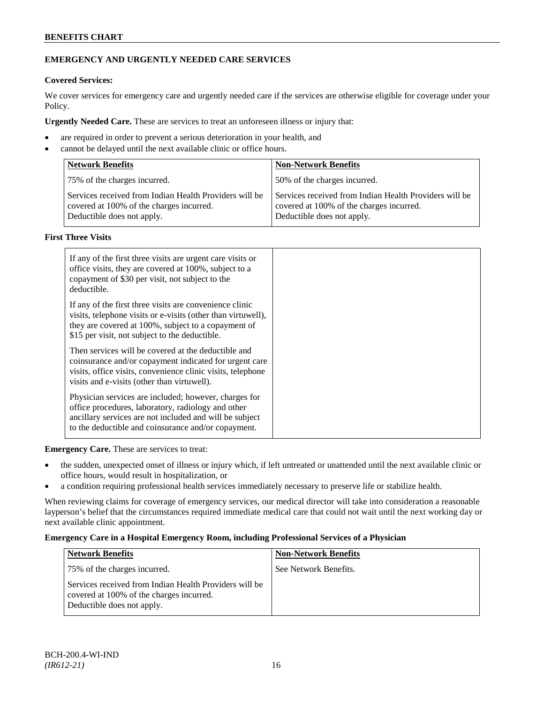# **EMERGENCY AND URGENTLY NEEDED CARE SERVICES**

# **Covered Services:**

We cover services for emergency care and urgently needed care if the services are otherwise eligible for coverage under your Policy.

**Urgently Needed Care.** These are services to treat an unforeseen illness or injury that:

- are required in order to prevent a serious deterioration in your health, and
- cannot be delayed until the next available clinic or office hours.

| <b>Network Benefits</b>                                                                                                          | <b>Non-Network Benefits</b>                                                                                                      |
|----------------------------------------------------------------------------------------------------------------------------------|----------------------------------------------------------------------------------------------------------------------------------|
| 75% of the charges incurred.                                                                                                     | 50% of the charges incurred.                                                                                                     |
| Services received from Indian Health Providers will be<br>covered at 100% of the charges incurred.<br>Deductible does not apply. | Services received from Indian Health Providers will be<br>covered at 100% of the charges incurred.<br>Deductible does not apply. |

# **First Three Visits**

| If any of the first three visits are urgent care visits or<br>office visits, they are covered at 100%, subject to a<br>copayment of \$30 per visit, not subject to the<br>deductible.                                            |
|----------------------------------------------------------------------------------------------------------------------------------------------------------------------------------------------------------------------------------|
| If any of the first three visits are convenience clinic<br>visits, telephone visits or e-visits (other than virtuwell),<br>they are covered at 100%, subject to a copayment of<br>\$15 per visit, not subject to the deductible. |
| Then services will be covered at the deductible and<br>coinsurance and/or copayment indicated for urgent care<br>visits, office visits, convenience clinic visits, telephone<br>visits and e-visits (other than virtuwell).      |
| Physician services are included; however, charges for<br>office procedures, laboratory, radiology and other<br>ancillary services are not included and will be subject<br>to the deductible and coinsurance and/or copayment.    |

**Emergency Care.** These are services to treat:

- the sudden, unexpected onset of illness or injury which, if left untreated or unattended until the next available clinic or office hours, would result in hospitalization, or
- a condition requiring professional health services immediately necessary to preserve life or stabilize health.

When reviewing claims for coverage of emergency services, our medical director will take into consideration a reasonable layperson's belief that the circumstances required immediate medical care that could not wait until the next working day or next available clinic appointment.

# **Emergency Care in a Hospital Emergency Room, including Professional Services of a Physician**

| <b>Network Benefits</b>                                                                                                          | <b>Non-Network Benefits</b> |
|----------------------------------------------------------------------------------------------------------------------------------|-----------------------------|
| 75% of the charges incurred.                                                                                                     | See Network Benefits.       |
| Services received from Indian Health Providers will be<br>covered at 100% of the charges incurred.<br>Deductible does not apply. |                             |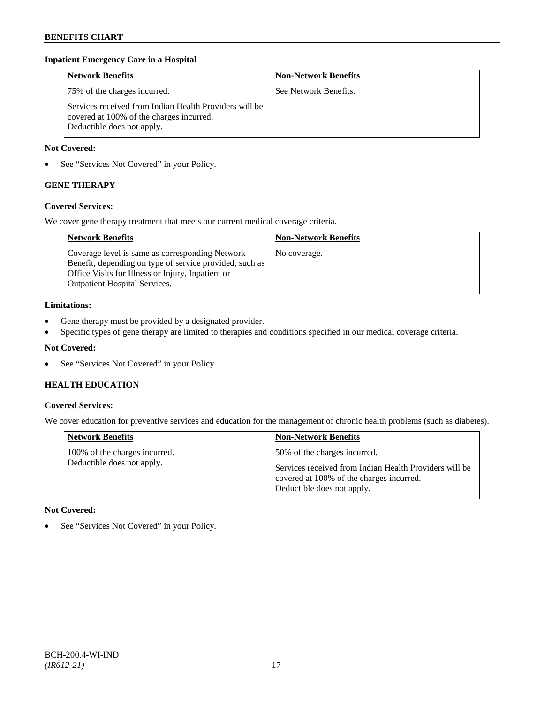### **Inpatient Emergency Care in a Hospital**

| <b>Network Benefits</b>                                                                                                          | <b>Non-Network Benefits</b> |
|----------------------------------------------------------------------------------------------------------------------------------|-----------------------------|
| 75% of the charges incurred.                                                                                                     | See Network Benefits.       |
| Services received from Indian Health Providers will be<br>covered at 100% of the charges incurred.<br>Deductible does not apply. |                             |

### **Not Covered:**

• See "Services Not Covered" in your Policy.

# **GENE THERAPY**

# **Covered Services:**

We cover gene therapy treatment that meets our current medical coverage criteria.

| <b>Network Benefits</b>                                                                                                                                                                                 | <b>Non-Network Benefits</b> |
|---------------------------------------------------------------------------------------------------------------------------------------------------------------------------------------------------------|-----------------------------|
| Coverage level is same as corresponding Network<br>Benefit, depending on type of service provided, such as<br>Office Visits for Illness or Injury, Inpatient or<br><b>Outpatient Hospital Services.</b> | No coverage.                |

#### **Limitations:**

- Gene therapy must be provided by a designated provider.
- Specific types of gene therapy are limited to therapies and conditions specified in our medical coverage criteria.

# **Not Covered:**

• See "Services Not Covered" in your Policy.

# **HEALTH EDUCATION**

#### **Covered Services:**

We cover education for preventive services and education for the management of chronic health problems (such as diabetes).

| <b>Network Benefits</b>                                     | <b>Non-Network Benefits</b>                                                                                                                                      |
|-------------------------------------------------------------|------------------------------------------------------------------------------------------------------------------------------------------------------------------|
| 100% of the charges incurred.<br>Deductible does not apply. | 50% of the charges incurred.<br>Services received from Indian Health Providers will be<br>covered at 100% of the charges incurred.<br>Deductible does not apply. |

# **Not Covered:**

• See "Services Not Covered" in your Policy.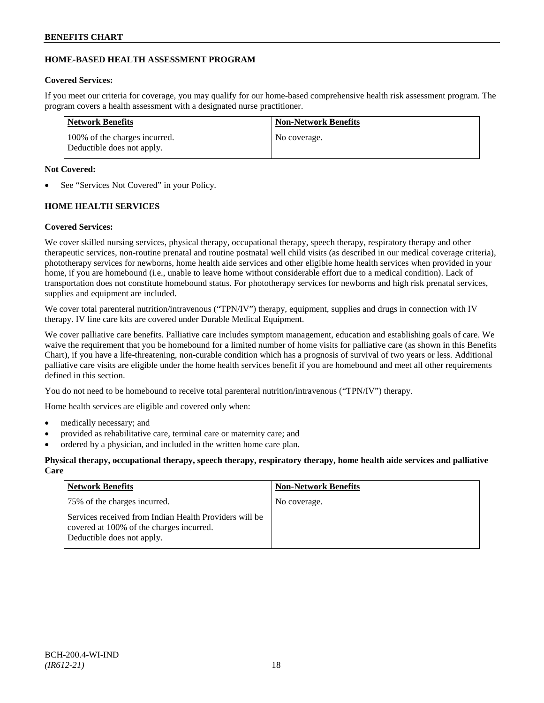# **HOME-BASED HEALTH ASSESSMENT PROGRAM**

# **Covered Services:**

If you meet our criteria for coverage, you may qualify for our home-based comprehensive health risk assessment program. The program covers a health assessment with a designated nurse practitioner.

| Network Benefits                                            | <b>Non-Network Benefits</b> |
|-------------------------------------------------------------|-----------------------------|
| 100% of the charges incurred.<br>Deductible does not apply. | No coverage.                |

# **Not Covered:**

See "Services Not Covered" in your Policy.

# **HOME HEALTH SERVICES**

# **Covered Services:**

We cover skilled nursing services, physical therapy, occupational therapy, speech therapy, respiratory therapy and other therapeutic services, non-routine prenatal and routine postnatal well child visits (as described in our medical coverage criteria), phototherapy services for newborns, home health aide services and other eligible home health services when provided in your home, if you are homebound (i.e., unable to leave home without considerable effort due to a medical condition). Lack of transportation does not constitute homebound status. For phototherapy services for newborns and high risk prenatal services, supplies and equipment are included.

We cover total parenteral nutrition/intravenous ("TPN/IV") therapy, equipment, supplies and drugs in connection with IV therapy. IV line care kits are covered under Durable Medical Equipment.

We cover palliative care benefits. Palliative care includes symptom management, education and establishing goals of care. We waive the requirement that you be homebound for a limited number of home visits for palliative care (as shown in this Benefits Chart), if you have a life-threatening, non-curable condition which has a prognosis of survival of two years or less. Additional palliative care visits are eligible under the home health services benefit if you are homebound and meet all other requirements defined in this section.

You do not need to be homebound to receive total parenteral nutrition/intravenous ("TPN/IV") therapy.

Home health services are eligible and covered only when:

- medically necessary; and
- provided as rehabilitative care, terminal care or maternity care; and
- ordered by a physician, and included in the written home care plan.

# **Physical therapy, occupational therapy, speech therapy, respiratory therapy, home health aide services and palliative Care**

| <b>Network Benefits</b>                                                                                                          | <b>Non-Network Benefits</b> |
|----------------------------------------------------------------------------------------------------------------------------------|-----------------------------|
| 75% of the charges incurred.                                                                                                     | No coverage.                |
| Services received from Indian Health Providers will be<br>covered at 100% of the charges incurred.<br>Deductible does not apply. |                             |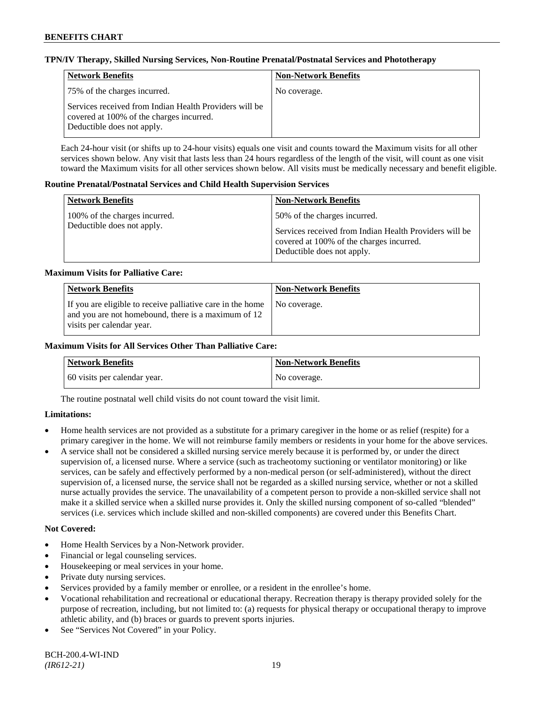### **TPN/IV Therapy, Skilled Nursing Services, Non-Routine Prenatal/Postnatal Services and Phototherapy**

| Network Benefits                                                                                                                 | <b>Non-Network Benefits</b> |
|----------------------------------------------------------------------------------------------------------------------------------|-----------------------------|
| 75% of the charges incurred.                                                                                                     | No coverage.                |
| Services received from Indian Health Providers will be<br>covered at 100% of the charges incurred.<br>Deductible does not apply. |                             |

Each 24-hour visit (or shifts up to 24-hour visits) equals one visit and counts toward the Maximum visits for all other services shown below. Any visit that lasts less than 24 hours regardless of the length of the visit, will count as one visit toward the Maximum visits for all other services shown below. All visits must be medically necessary and benefit eligible.

#### **Routine Prenatal/Postnatal Services and Child Health Supervision Services**

| <b>Network Benefits</b>                                     | <b>Non-Network Benefits</b>                                                                                                                                      |
|-------------------------------------------------------------|------------------------------------------------------------------------------------------------------------------------------------------------------------------|
| 100% of the charges incurred.<br>Deductible does not apply. | 50% of the charges incurred.<br>Services received from Indian Health Providers will be<br>covered at 100% of the charges incurred.<br>Deductible does not apply. |

#### **Maximum Visits for Palliative Care:**

| <b>Network Benefits</b>                                                                                                                        | <b>Non-Network Benefits</b> |
|------------------------------------------------------------------------------------------------------------------------------------------------|-----------------------------|
| If you are eligible to receive palliative care in the home<br>and you are not homebound, there is a maximum of 12<br>visits per calendar year. | No coverage.                |

#### **Maximum Visits for All Services Other Than Palliative Care:**

| Network Benefits             | <b>Non-Network Benefits</b> |
|------------------------------|-----------------------------|
| 60 visits per calendar year. | No coverage.                |

The routine postnatal well child visits do not count toward the visit limit.

# **Limitations:**

- Home health services are not provided as a substitute for a primary caregiver in the home or as relief (respite) for a primary caregiver in the home. We will not reimburse family members or residents in your home for the above services.
- A service shall not be considered a skilled nursing service merely because it is performed by, or under the direct supervision of, a licensed nurse. Where a service (such as tracheotomy suctioning or ventilator monitoring) or like services, can be safely and effectively performed by a non-medical person (or self-administered), without the direct supervision of, a licensed nurse, the service shall not be regarded as a skilled nursing service, whether or not a skilled nurse actually provides the service. The unavailability of a competent person to provide a non-skilled service shall not make it a skilled service when a skilled nurse provides it. Only the skilled nursing component of so-called "blended" services (i.e. services which include skilled and non-skilled components) are covered under this Benefits Chart.

#### **Not Covered:**

- Home Health Services by a Non-Network provider.
- Financial or legal counseling services.
- Housekeeping or meal services in your home.
- Private duty nursing services.
- Services provided by a family member or enrollee, or a resident in the enrollee's home.
- Vocational rehabilitation and recreational or educational therapy. Recreation therapy is therapy provided solely for the purpose of recreation, including, but not limited to: (a) requests for physical therapy or occupational therapy to improve athletic ability, and (b) braces or guards to prevent sports injuries.
- See "Services Not Covered" in your Policy.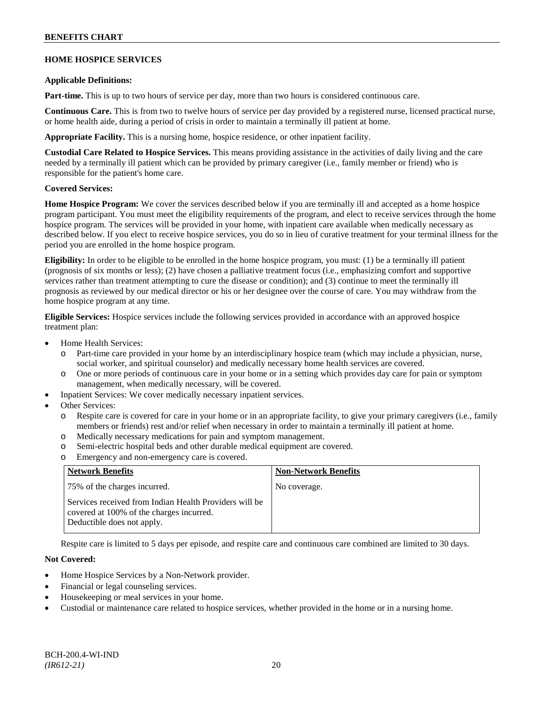# **HOME HOSPICE SERVICES**

#### **Applicable Definitions:**

**Part-time.** This is up to two hours of service per day, more than two hours is considered continuous care.

**Continuous Care.** This is from two to twelve hours of service per day provided by a registered nurse, licensed practical nurse, or home health aide, during a period of crisis in order to maintain a terminally ill patient at home.

**Appropriate Facility.** This is a nursing home, hospice residence, or other inpatient facility.

**Custodial Care Related to Hospice Services.** This means providing assistance in the activities of daily living and the care needed by a terminally ill patient which can be provided by primary caregiver (i.e., family member or friend) who is responsible for the patient's home care.

# **Covered Services:**

**Home Hospice Program:** We cover the services described below if you are terminally ill and accepted as a home hospice program participant. You must meet the eligibility requirements of the program, and elect to receive services through the home hospice program. The services will be provided in your home, with inpatient care available when medically necessary as described below. If you elect to receive hospice services, you do so in lieu of curative treatment for your terminal illness for the period you are enrolled in the home hospice program.

**Eligibility:** In order to be eligible to be enrolled in the home hospice program, you must: (1) be a terminally ill patient (prognosis of six months or less); (2) have chosen a palliative treatment focus (i.e., emphasizing comfort and supportive services rather than treatment attempting to cure the disease or condition); and (3) continue to meet the terminally ill prognosis as reviewed by our medical director or his or her designee over the course of care. You may withdraw from the home hospice program at any time.

**Eligible Services:** Hospice services include the following services provided in accordance with an approved hospice treatment plan:

- Home Health Services:
	- o Part-time care provided in your home by an interdisciplinary hospice team (which may include a physician, nurse, social worker, and spiritual counselor) and medically necessary home health services are covered.
	- o One or more periods of continuous care in your home or in a setting which provides day care for pain or symptom management, when medically necessary, will be covered.
- Inpatient Services: We cover medically necessary inpatient services.
- Other Services:
	- o Respite care is covered for care in your home or in an appropriate facility, to give your primary caregivers (i.e., family members or friends) rest and/or relief when necessary in order to maintain a terminally ill patient at home*.*
	- o Medically necessary medications for pain and symptom management.
	- o Semi-electric hospital beds and other durable medical equipment are covered.
	- o Emergency and non-emergency care is covered.

| <b>Network Benefits</b>                                                                                                          | <b>Non-Network Benefits</b> |
|----------------------------------------------------------------------------------------------------------------------------------|-----------------------------|
| 75% of the charges incurred.                                                                                                     | No coverage.                |
| Services received from Indian Health Providers will be<br>covered at 100% of the charges incurred.<br>Deductible does not apply. |                             |

Respite care is limited to 5 days per episode, and respite care and continuous care combined are limited to 30 days.

# **Not Covered:**

- Home Hospice Services by a Non-Network provider.
- Financial or legal counseling services.
- Housekeeping or meal services in your home.
- Custodial or maintenance care related to hospice services, whether provided in the home or in a nursing home.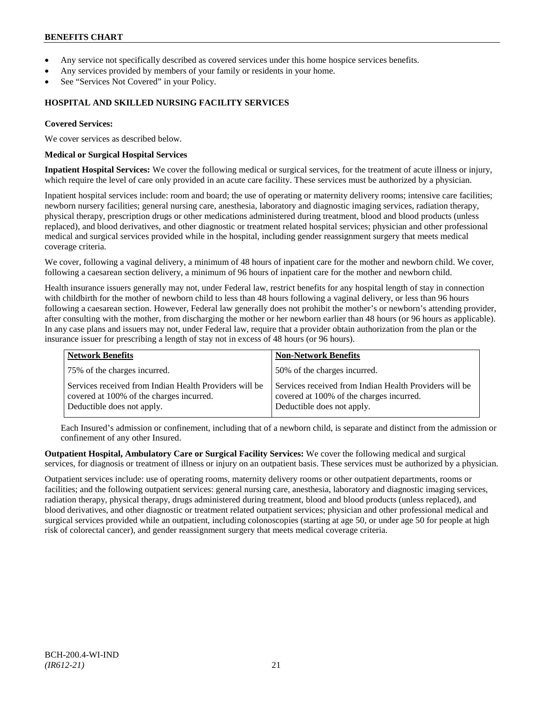- Any service not specifically described as covered services under this home hospice services benefits.
- Any services provided by members of your family or residents in your home.
- See "Services Not Covered" in your Policy.

# **HOSPITAL AND SKILLED NURSING FACILITY SERVICES**

#### **Covered Services:**

We cover services as described below.

#### **Medical or Surgical Hospital Services**

**Inpatient Hospital Services:** We cover the following medical or surgical services, for the treatment of acute illness or injury, which require the level of care only provided in an acute care facility. These services must be authorized by a physician.

Inpatient hospital services include: room and board; the use of operating or maternity delivery rooms; intensive care facilities; newborn nursery facilities; general nursing care, anesthesia, laboratory and diagnostic imaging services, radiation therapy, physical therapy, prescription drugs or other medications administered during treatment, blood and blood products (unless replaced), and blood derivatives, and other diagnostic or treatment related hospital services; physician and other professional medical and surgical services provided while in the hospital, including gender reassignment surgery that meets medical coverage criteria.

We cover, following a vaginal delivery, a minimum of 48 hours of inpatient care for the mother and newborn child. We cover, following a caesarean section delivery, a minimum of 96 hours of inpatient care for the mother and newborn child.

Health insurance issuers generally may not, under Federal law, restrict benefits for any hospital length of stay in connection with childbirth for the mother of newborn child to less than 48 hours following a vaginal delivery, or less than 96 hours following a caesarean section. However, Federal law generally does not prohibit the mother's or newborn's attending provider, after consulting with the mother, from discharging the mother or her newborn earlier than 48 hours (or 96 hours as applicable). In any case plans and issuers may not, under Federal law, require that a provider obtain authorization from the plan or the insurance issuer for prescribing a length of stay not in excess of 48 hours (or 96 hours).

| <b>Network Benefits</b>                                                                                                          | <b>Non-Network Benefits</b>                                                                                                      |
|----------------------------------------------------------------------------------------------------------------------------------|----------------------------------------------------------------------------------------------------------------------------------|
| 75% of the charges incurred.                                                                                                     | 50% of the charges incurred.                                                                                                     |
| Services received from Indian Health Providers will be<br>covered at 100% of the charges incurred.<br>Deductible does not apply. | Services received from Indian Health Providers will be<br>covered at 100% of the charges incurred.<br>Deductible does not apply. |

Each Insured's admission or confinement, including that of a newborn child, is separate and distinct from the admission or confinement of any other Insured.

**Outpatient Hospital, Ambulatory Care or Surgical Facility Services:** We cover the following medical and surgical services, for diagnosis or treatment of illness or injury on an outpatient basis. These services must be authorized by a physician.

Outpatient services include: use of operating rooms, maternity delivery rooms or other outpatient departments, rooms or facilities; and the following outpatient services: general nursing care, anesthesia, laboratory and diagnostic imaging services, radiation therapy, physical therapy, drugs administered during treatment, blood and blood products (unless replaced), and blood derivatives, and other diagnostic or treatment related outpatient services; physician and other professional medical and surgical services provided while an outpatient, including colonoscopies (starting at age 50, or under age 50 for people at high risk of colorectal cancer), and gender reassignment surgery that meets medical coverage criteria.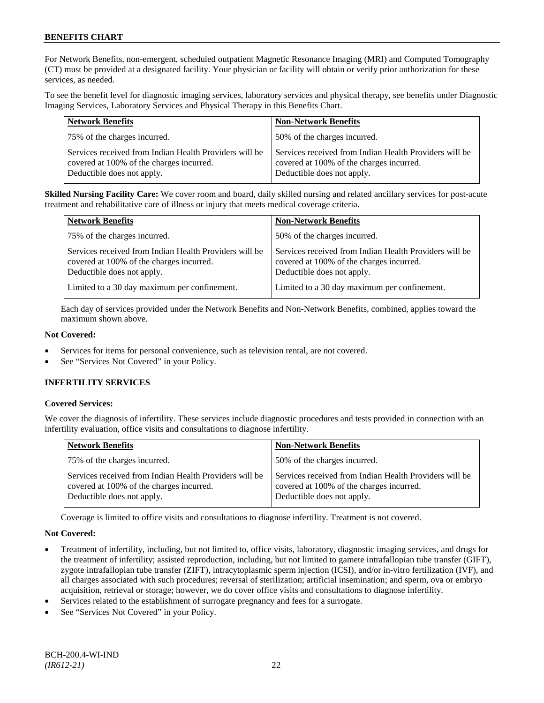For Network Benefits, non-emergent, scheduled outpatient Magnetic Resonance Imaging (MRI) and Computed Tomography (CT) must be provided at a designated facility. Your physician or facility will obtain or verify prior authorization for these services, as needed.

To see the benefit level for diagnostic imaging services, laboratory services and physical therapy, see benefits under Diagnostic Imaging Services, Laboratory Services and Physical Therapy in this Benefits Chart.

| <b>Network Benefits</b>                                                                                                          | <b>Non-Network Benefits</b>                                                                                                      |
|----------------------------------------------------------------------------------------------------------------------------------|----------------------------------------------------------------------------------------------------------------------------------|
| 75% of the charges incurred.                                                                                                     | 50% of the charges incurred.                                                                                                     |
| Services received from Indian Health Providers will be<br>covered at 100% of the charges incurred.<br>Deductible does not apply. | Services received from Indian Health Providers will be<br>covered at 100% of the charges incurred.<br>Deductible does not apply. |

**Skilled Nursing Facility Care:** We cover room and board, daily skilled nursing and related ancillary services for post-acute treatment and rehabilitative care of illness or injury that meets medical coverage criteria.

| <b>Network Benefits</b>                                                                                                          | <b>Non-Network Benefits</b>                                                                                                      |
|----------------------------------------------------------------------------------------------------------------------------------|----------------------------------------------------------------------------------------------------------------------------------|
| 75% of the charges incurred.                                                                                                     | 50% of the charges incurred.                                                                                                     |
| Services received from Indian Health Providers will be<br>covered at 100% of the charges incurred.<br>Deductible does not apply. | Services received from Indian Health Providers will be<br>covered at 100% of the charges incurred.<br>Deductible does not apply. |
| Limited to a 30 day maximum per confinement.                                                                                     | Limited to a 30 day maximum per confinement.                                                                                     |

Each day of services provided under the Network Benefits and Non-Network Benefits, combined, applies toward the maximum shown above.

# **Not Covered:**

- Services for items for personal convenience, such as television rental, are not covered.
- See "Services Not Covered" in your Policy.

# **INFERTILITY SERVICES**

# **Covered Services:**

We cover the diagnosis of infertility. These services include diagnostic procedures and tests provided in connection with an infertility evaluation, office visits and consultations to diagnose infertility.

| <b>Network Benefits</b>                                                                                                          | <b>Non-Network Benefits</b>                                                                                                      |
|----------------------------------------------------------------------------------------------------------------------------------|----------------------------------------------------------------------------------------------------------------------------------|
| 75% of the charges incurred.                                                                                                     | 50% of the charges incurred.                                                                                                     |
| Services received from Indian Health Providers will be<br>covered at 100% of the charges incurred.<br>Deductible does not apply. | Services received from Indian Health Providers will be<br>covered at 100% of the charges incurred.<br>Deductible does not apply. |

Coverage is limited to office visits and consultations to diagnose infertility. Treatment is not covered.

# **Not Covered:**

- Treatment of infertility, including, but not limited to, office visits, laboratory, diagnostic imaging services, and drugs for the treatment of infertility; assisted reproduction, including, but not limited to gamete intrafallopian tube transfer (GIFT), zygote intrafallopian tube transfer (ZIFT), intracytoplasmic sperm injection (ICSI), and/or in-vitro fertilization (IVF), and all charges associated with such procedures; reversal of sterilization; artificial insemination; and sperm, ova or embryo acquisition, retrieval or storage; however, we do cover office visits and consultations to diagnose infertility.
- Services related to the establishment of surrogate pregnancy and fees for a surrogate.
- See "Services Not Covered" in your Policy.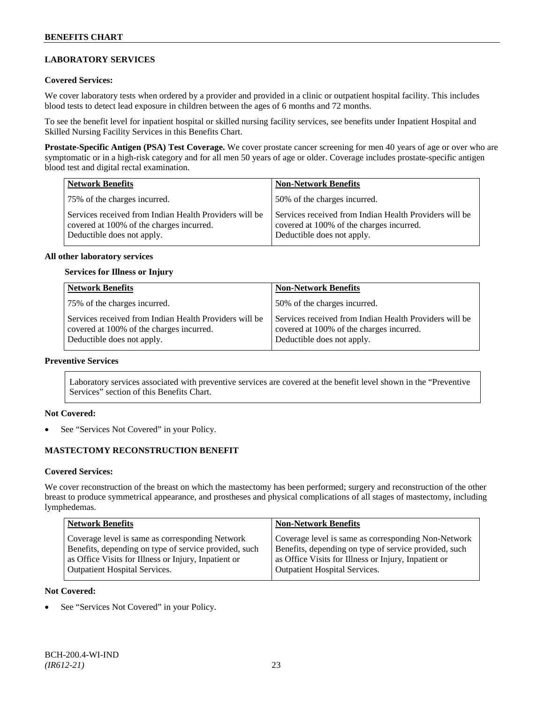# **LABORATORY SERVICES**

### **Covered Services:**

We cover laboratory tests when ordered by a provider and provided in a clinic or outpatient hospital facility. This includes blood tests to detect lead exposure in children between the ages of 6 months and 72 months.

To see the benefit level for inpatient hospital or skilled nursing facility services, see benefits under Inpatient Hospital and Skilled Nursing Facility Services in this Benefits Chart.

**Prostate-Specific Antigen (PSA) Test Coverage.** We cover prostate cancer screening for men 40 years of age or over who are symptomatic or in a high-risk category and for all men 50 years of age or older. Coverage includes prostate-specific antigen blood test and digital rectal examination.

| <b>Network Benefits</b>                                                                                                          | <b>Non-Network Benefits</b>                                                                                                      |
|----------------------------------------------------------------------------------------------------------------------------------|----------------------------------------------------------------------------------------------------------------------------------|
| 75% of the charges incurred.                                                                                                     | 50% of the charges incurred.                                                                                                     |
| Services received from Indian Health Providers will be<br>covered at 100% of the charges incurred.<br>Deductible does not apply. | Services received from Indian Health Providers will be<br>covered at 100% of the charges incurred.<br>Deductible does not apply. |

#### **All other laboratory services**

#### **Services for Illness or Injury**

| <b>Network Benefits</b>                                                                                                          | <b>Non-Network Benefits</b>                                                                                                      |
|----------------------------------------------------------------------------------------------------------------------------------|----------------------------------------------------------------------------------------------------------------------------------|
| 75% of the charges incurred.                                                                                                     | 50% of the charges incurred.                                                                                                     |
| Services received from Indian Health Providers will be<br>covered at 100% of the charges incurred.<br>Deductible does not apply. | Services received from Indian Health Providers will be<br>covered at 100% of the charges incurred.<br>Deductible does not apply. |

# **Preventive Services**

Laboratory services associated with preventive services are covered at the benefit level shown in the "Preventive Services" section of this Benefits Chart.

#### **Not Covered:**

See "Services Not Covered" in your Policy.

# **MASTECTOMY RECONSTRUCTION BENEFIT**

#### **Covered Services:**

We cover reconstruction of the breast on which the mastectomy has been performed; surgery and reconstruction of the other breast to produce symmetrical appearance, and prostheses and physical complications of all stages of mastectomy, including lymphedemas.

| <b>Network Benefits</b>                               | <b>Non-Network Benefits</b>                           |
|-------------------------------------------------------|-------------------------------------------------------|
| Coverage level is same as corresponding Network       | Coverage level is same as corresponding Non-Network   |
| Benefits, depending on type of service provided, such | Benefits, depending on type of service provided, such |
| as Office Visits for Illness or Injury, Inpatient or  | as Office Visits for Illness or Injury, Inpatient or  |
| <b>Outpatient Hospital Services.</b>                  | <b>Outpatient Hospital Services.</b>                  |

#### **Not Covered:**

See "Services Not Covered" in your Policy.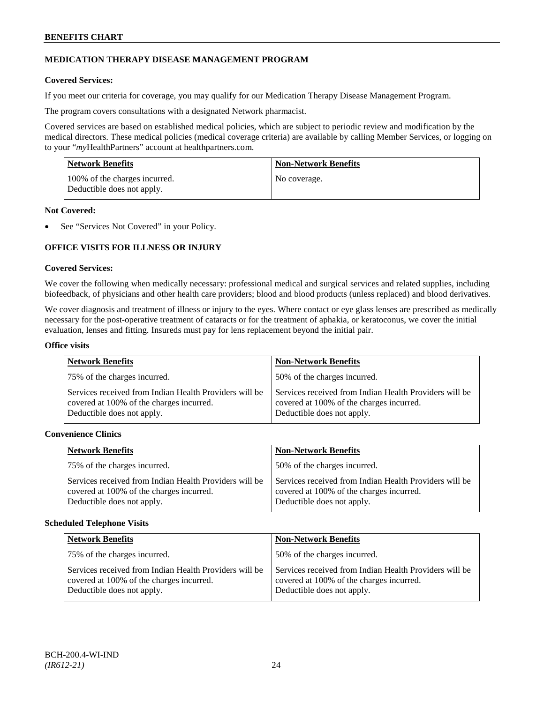# **MEDICATION THERAPY DISEASE MANAGEMENT PROGRAM**

# **Covered Services:**

If you meet our criteria for coverage, you may qualify for our Medication Therapy Disease Management Program.

The program covers consultations with a designated Network pharmacist.

Covered services are based on established medical policies, which are subject to periodic review and modification by the medical directors. These medical policies (medical coverage criteria) are available by calling Member Services, or logging on to your "*my*HealthPartners" account at [healthpartners.com.](http://www.healthpartners.com/)

| <b>Network Benefits</b>                                     | <b>Non-Network Benefits</b> |
|-------------------------------------------------------------|-----------------------------|
| 100% of the charges incurred.<br>Deductible does not apply. | No coverage.                |

#### **Not Covered:**

See "Services Not Covered" in your Policy.

# **OFFICE VISITS FOR ILLNESS OR INJURY**

#### **Covered Services:**

We cover the following when medically necessary: professional medical and surgical services and related supplies, including biofeedback, of physicians and other health care providers; blood and blood products (unless replaced) and blood derivatives.

We cover diagnosis and treatment of illness or injury to the eyes. Where contact or eye glass lenses are prescribed as medically necessary for the post-operative treatment of cataracts or for the treatment of aphakia, or keratoconus, we cover the initial evaluation, lenses and fitting. Insureds must pay for lens replacement beyond the initial pair.

#### **Office visits**

| <b>Network Benefits</b>                                                                                                          | <b>Non-Network Benefits</b>                                                                                                      |
|----------------------------------------------------------------------------------------------------------------------------------|----------------------------------------------------------------------------------------------------------------------------------|
| 75% of the charges incurred.                                                                                                     | 50% of the charges incurred.                                                                                                     |
| Services received from Indian Health Providers will be<br>covered at 100% of the charges incurred.<br>Deductible does not apply. | Services received from Indian Health Providers will be<br>covered at 100% of the charges incurred.<br>Deductible does not apply. |

# **Convenience Clinics**

| <b>Network Benefits</b>                                                                                                          | <b>Non-Network Benefits</b>                                                                                                      |
|----------------------------------------------------------------------------------------------------------------------------------|----------------------------------------------------------------------------------------------------------------------------------|
| 50% of the charges incurred.<br>75% of the charges incurred.                                                                     |                                                                                                                                  |
| Services received from Indian Health Providers will be<br>covered at 100% of the charges incurred.<br>Deductible does not apply. | Services received from Indian Health Providers will be<br>covered at 100% of the charges incurred.<br>Deductible does not apply. |

#### **Scheduled Telephone Visits**

| <b>Network Benefits</b>                                                                                                          | <b>Non-Network Benefits</b>                                                                                                      |
|----------------------------------------------------------------------------------------------------------------------------------|----------------------------------------------------------------------------------------------------------------------------------|
| 75% of the charges incurred.                                                                                                     | 50% of the charges incurred.                                                                                                     |
| Services received from Indian Health Providers will be<br>covered at 100% of the charges incurred.<br>Deductible does not apply. | Services received from Indian Health Providers will be<br>covered at 100% of the charges incurred.<br>Deductible does not apply. |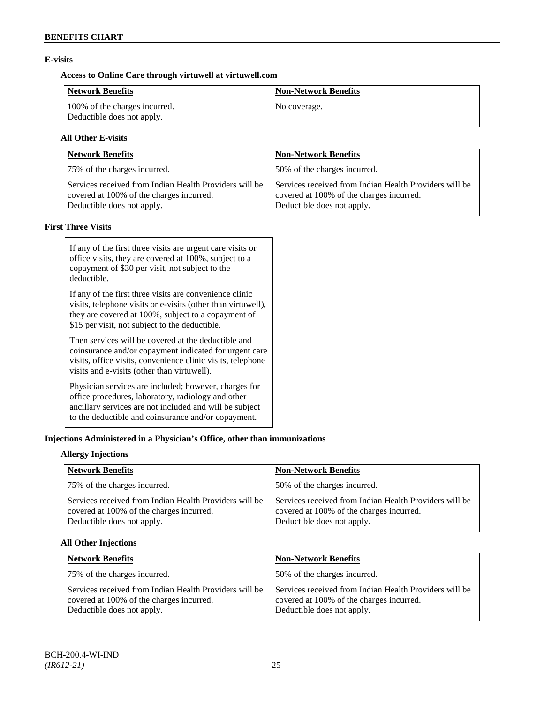# **E-visits**

# **Access to Online Care through virtuwell a[t virtuwell.com](http://www.virtuwell.com/)**

| Network Benefits                                            | <b>Non-Network Benefits</b> |
|-------------------------------------------------------------|-----------------------------|
| 100% of the charges incurred.<br>Deductible does not apply. | No coverage.                |

# **All Other E-visits**

| Network Benefits                                                                                                                 | <b>Non-Network Benefits</b>                                                                                                      |
|----------------------------------------------------------------------------------------------------------------------------------|----------------------------------------------------------------------------------------------------------------------------------|
| 75% of the charges incurred.                                                                                                     | 50% of the charges incurred.                                                                                                     |
| Services received from Indian Health Providers will be<br>covered at 100% of the charges incurred.<br>Deductible does not apply. | Services received from Indian Health Providers will be<br>covered at 100% of the charges incurred.<br>Deductible does not apply. |

# **First Three Visits**

| If any of the first three visits are urgent care visits or<br>office visits, they are covered at 100%, subject to a<br>copayment of \$30 per visit, not subject to the<br>deductible.                                            |
|----------------------------------------------------------------------------------------------------------------------------------------------------------------------------------------------------------------------------------|
| If any of the first three visits are convenience clinic<br>visits, telephone visits or e-visits (other than virtuwell),<br>they are covered at 100%, subject to a copayment of<br>\$15 per visit, not subject to the deductible. |
| Then services will be covered at the deductible and<br>coinsurance and/or copayment indicated for urgent care<br>visits, office visits, convenience clinic visits, telephone<br>visits and e-visits (other than virtuwell).      |
| Physician services are included; however, charges for<br>office procedures, laboratory, radiology and other<br>ancillary services are not included and will be subject<br>to the deductible and coinsurance and/or copayment.    |

# **Injections Administered in a Physician's Office, other than immunizations**

# **Allergy Injections**

| <b>Network Benefits</b>                                                                                                          | <b>Non-Network Benefits</b>                                                                                                      |
|----------------------------------------------------------------------------------------------------------------------------------|----------------------------------------------------------------------------------------------------------------------------------|
| 75% of the charges incurred.                                                                                                     | 50% of the charges incurred.                                                                                                     |
| Services received from Indian Health Providers will be<br>covered at 100% of the charges incurred.<br>Deductible does not apply. | Services received from Indian Health Providers will be<br>covered at 100% of the charges incurred.<br>Deductible does not apply. |

# **All Other Injections**

| <b>Network Benefits</b>                                                                                                          | <b>Non-Network Benefits</b>                                                                                                      |
|----------------------------------------------------------------------------------------------------------------------------------|----------------------------------------------------------------------------------------------------------------------------------|
| 75% of the charges incurred.                                                                                                     | 50% of the charges incurred.                                                                                                     |
| Services received from Indian Health Providers will be<br>covered at 100% of the charges incurred.<br>Deductible does not apply. | Services received from Indian Health Providers will be<br>covered at 100% of the charges incurred.<br>Deductible does not apply. |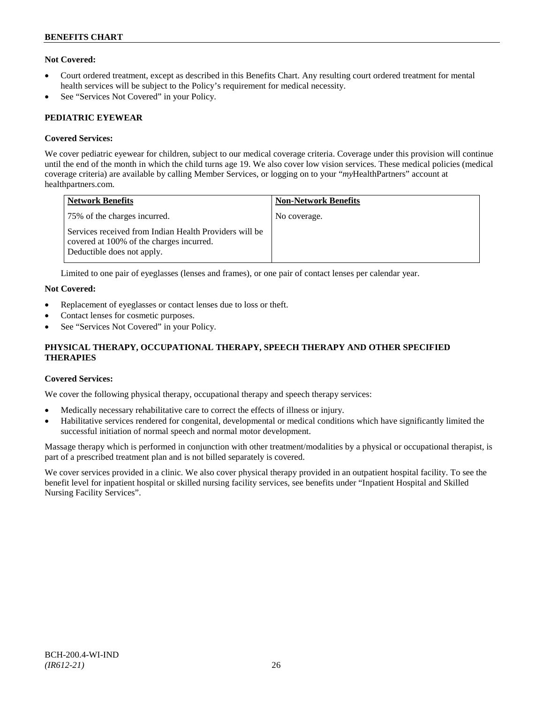# **Not Covered:**

- Court ordered treatment, except as described in this Benefits Chart. Any resulting court ordered treatment for mental health services will be subject to the Policy's requirement for medical necessity.
- See "Services Not Covered" in your Policy.

# **PEDIATRIC EYEWEAR**

# **Covered Services:**

We cover pediatric eyewear for children, subject to our medical coverage criteria. Coverage under this provision will continue until the end of the month in which the child turns age 19. We also cover low vision services. These medical policies (medical coverage criteria) are available by calling Member Services, or logging on to your "*my*HealthPartners" account at [healthpartners.com.](http://www.healthpartners.com/)

| Network Benefits                                                                                                                 | <b>Non-Network Benefits</b> |
|----------------------------------------------------------------------------------------------------------------------------------|-----------------------------|
| 75% of the charges incurred.                                                                                                     | No coverage.                |
| Services received from Indian Health Providers will be<br>covered at 100% of the charges incurred.<br>Deductible does not apply. |                             |

Limited to one pair of eyeglasses (lenses and frames), or one pair of contact lenses per calendar year.

# **Not Covered:**

- Replacement of eyeglasses or contact lenses due to loss or theft.
- Contact lenses for cosmetic purposes.
- See "Services Not Covered" in your Policy.

# **PHYSICAL THERAPY, OCCUPATIONAL THERAPY, SPEECH THERAPY AND OTHER SPECIFIED THERAPIES**

# **Covered Services:**

We cover the following physical therapy, occupational therapy and speech therapy services:

- Medically necessary rehabilitative care to correct the effects of illness or injury.
- Habilitative services rendered for congenital, developmental or medical conditions which have significantly limited the successful initiation of normal speech and normal motor development.

Massage therapy which is performed in conjunction with other treatment/modalities by a physical or occupational therapist, is part of a prescribed treatment plan and is not billed separately is covered.

We cover services provided in a clinic. We also cover physical therapy provided in an outpatient hospital facility. To see the benefit level for inpatient hospital or skilled nursing facility services, see benefits under "Inpatient Hospital and Skilled Nursing Facility Services".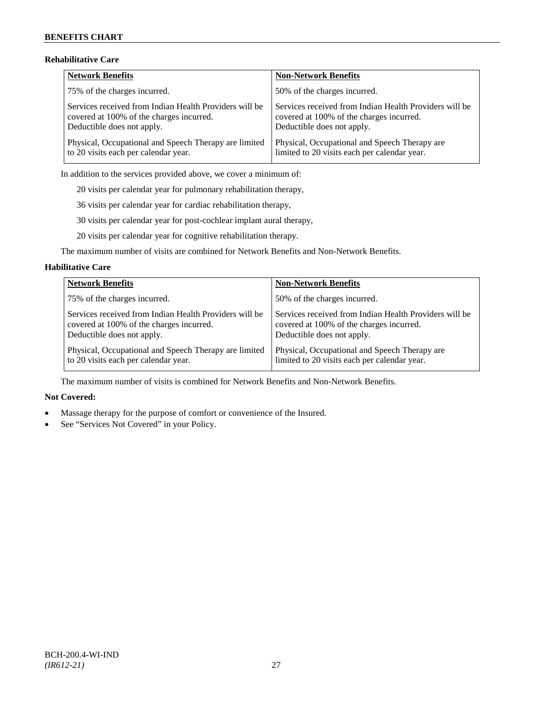# **Rehabilitative Care**

| Network Benefits                                       | <b>Non-Network Benefits</b>                            |
|--------------------------------------------------------|--------------------------------------------------------|
| 75% of the charges incurred.                           | 50% of the charges incurred.                           |
| Services received from Indian Health Providers will be | Services received from Indian Health Providers will be |
| covered at 100% of the charges incurred.               | covered at 100% of the charges incurred.               |
| Deductible does not apply.                             | Deductible does not apply.                             |
| Physical, Occupational and Speech Therapy are limited  | Physical, Occupational and Speech Therapy are          |
| to 20 visits each per calendar year.                   | limited to 20 visits each per calendar year.           |

In addition to the services provided above, we cover a minimum of:

20 visits per calendar year for pulmonary rehabilitation therapy,

36 visits per calendar year for cardiac rehabilitation therapy,

30 visits per calendar year for post-cochlear implant aural therapy,

20 visits per calendar year for cognitive rehabilitation therapy.

The maximum number of visits are combined for Network Benefits and Non-Network Benefits.

#### **Habilitative Care**

| <b>Network Benefits</b>                                | <b>Non-Network Benefits</b>                            |
|--------------------------------------------------------|--------------------------------------------------------|
| 75% of the charges incurred.                           | 50% of the charges incurred.                           |
| Services received from Indian Health Providers will be | Services received from Indian Health Providers will be |
| covered at 100% of the charges incurred.               | covered at 100% of the charges incurred.               |
| Deductible does not apply.                             | Deductible does not apply.                             |
| Physical, Occupational and Speech Therapy are limited  | Physical, Occupational and Speech Therapy are          |
| to 20 visits each per calendar year.                   | limited to 20 visits each per calendar year.           |

The maximum number of visits is combined for Network Benefits and Non-Network Benefits.

# **Not Covered:**

- Massage therapy for the purpose of comfort or convenience of the Insured.
- See "Services Not Covered" in your Policy.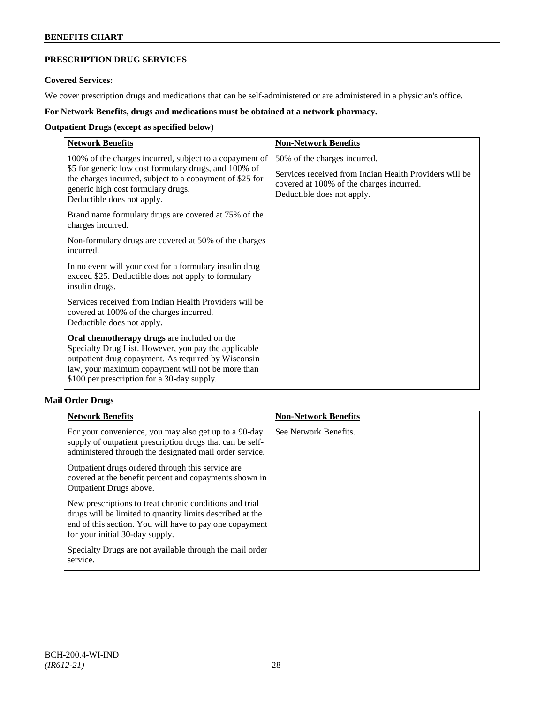# **PRESCRIPTION DRUG SERVICES**

# **Covered Services:**

We cover prescription drugs and medications that can be self-administered or are administered in a physician's office.

# **For Network Benefits, drugs and medications must be obtained at a network pharmacy.**

# **Outpatient Drugs (except as specified below)**

| <b>Network Benefits</b>                                                                                                                                                                                                                                        | <b>Non-Network Benefits</b>                                                                                                                                      |
|----------------------------------------------------------------------------------------------------------------------------------------------------------------------------------------------------------------------------------------------------------------|------------------------------------------------------------------------------------------------------------------------------------------------------------------|
| 100% of the charges incurred, subject to a copayment of<br>\$5 for generic low cost formulary drugs, and 100% of<br>the charges incurred, subject to a copayment of \$25 for<br>generic high cost formulary drugs.<br>Deductible does not apply.               | 50% of the charges incurred.<br>Services received from Indian Health Providers will be<br>covered at 100% of the charges incurred.<br>Deductible does not apply. |
| Brand name formulary drugs are covered at 75% of the<br>charges incurred.                                                                                                                                                                                      |                                                                                                                                                                  |
| Non-formulary drugs are covered at 50% of the charges<br>incurred.                                                                                                                                                                                             |                                                                                                                                                                  |
| In no event will your cost for a formulary insulin drug<br>exceed \$25. Deductible does not apply to formulary<br>insulin drugs.                                                                                                                               |                                                                                                                                                                  |
| Services received from Indian Health Providers will be<br>covered at 100% of the charges incurred.<br>Deductible does not apply.                                                                                                                               |                                                                                                                                                                  |
| Oral chemotherapy drugs are included on the<br>Specialty Drug List. However, you pay the applicable<br>outpatient drug copayment. As required by Wisconsin<br>law, your maximum copayment will not be more than<br>\$100 per prescription for a 30-day supply. |                                                                                                                                                                  |

# **Mail Order Drugs**

| <b>Network Benefits</b>                                                                                                                                                                                            | <b>Non-Network Benefits</b> |
|--------------------------------------------------------------------------------------------------------------------------------------------------------------------------------------------------------------------|-----------------------------|
| For your convenience, you may also get up to a 90-day<br>supply of outpatient prescription drugs that can be self-<br>administered through the designated mail order service.                                      | See Network Benefits.       |
| Outpatient drugs ordered through this service are<br>covered at the benefit percent and copayments shown in<br>Outpatient Drugs above.                                                                             |                             |
| New prescriptions to treat chronic conditions and trial<br>drugs will be limited to quantity limits described at the<br>end of this section. You will have to pay one copayment<br>for your initial 30-day supply. |                             |
| Specialty Drugs are not available through the mail order<br>service.                                                                                                                                               |                             |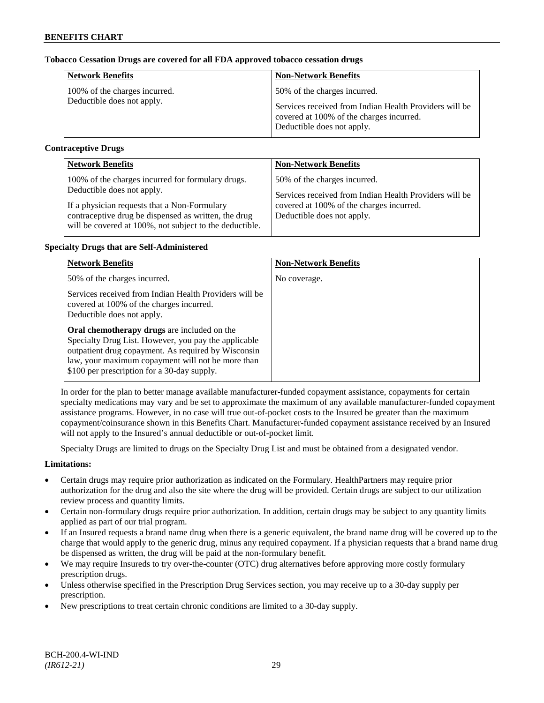# **Tobacco Cessation Drugs are covered for all FDA approved tobacco cessation drugs**

| <b>Network Benefits</b>       | <b>Non-Network Benefits</b>                                                                                                      |
|-------------------------------|----------------------------------------------------------------------------------------------------------------------------------|
| 100% of the charges incurred. | 50% of the charges incurred.                                                                                                     |
| Deductible does not apply.    | Services received from Indian Health Providers will be<br>covered at 100% of the charges incurred.<br>Deductible does not apply. |

# **Contraceptive Drugs**

| <b>Network Benefits</b>                                 | <b>Non-Network Benefits</b>                            |
|---------------------------------------------------------|--------------------------------------------------------|
| 100% of the charges incurred for formulary drugs.       | 50% of the charges incurred.                           |
| Deductible does not apply.                              | Services received from Indian Health Providers will be |
| If a physician requests that a Non-Formulary            | covered at 100% of the charges incurred.               |
| contraceptive drug be dispensed as written, the drug    | Deductible does not apply.                             |
| will be covered at 100%, not subject to the deductible. |                                                        |

# **Specialty Drugs that are Self-Administered**

| <b>Network Benefits</b>                                                                                                                                                                                                                 | <b>Non-Network Benefits</b> |
|-----------------------------------------------------------------------------------------------------------------------------------------------------------------------------------------------------------------------------------------|-----------------------------|
| 50% of the charges incurred.                                                                                                                                                                                                            | No coverage.                |
| Services received from Indian Health Providers will be<br>covered at 100% of the charges incurred.<br>Deductible does not apply.<br>Oral chemotherapy drugs are included on the<br>Specialty Drug List. However, you pay the applicable |                             |
| outpatient drug copayment. As required by Wisconsin<br>law, your maximum copayment will not be more than<br>\$100 per prescription for a 30-day supply.                                                                                 |                             |

In order for the plan to better manage available manufacturer-funded copayment assistance, copayments for certain specialty medications may vary and be set to approximate the maximum of any available manufacturer-funded copayment assistance programs. However, in no case will true out-of-pocket costs to the Insured be greater than the maximum copayment/coinsurance shown in this Benefits Chart. Manufacturer-funded copayment assistance received by an Insured will not apply to the Insured's annual deductible or out-of-pocket limit.

Specialty Drugs are limited to drugs on the Specialty Drug List and must be obtained from a designated vendor.

# **Limitations:**

- Certain drugs may require prior authorization as indicated on the Formulary. HealthPartners may require prior authorization for the drug and also the site where the drug will be provided. Certain drugs are subject to our utilization review process and quantity limits.
- Certain non-formulary drugs require prior authorization. In addition, certain drugs may be subject to any quantity limits applied as part of our trial program.
- If an Insured requests a brand name drug when there is a generic equivalent, the brand name drug will be covered up to the charge that would apply to the generic drug, minus any required copayment. If a physician requests that a brand name drug be dispensed as written, the drug will be paid at the non-formulary benefit.
- We may require Insureds to try over-the-counter (OTC) drug alternatives before approving more costly formulary prescription drugs.
- Unless otherwise specified in the Prescription Drug Services section, you may receive up to a 30-day supply per prescription.
- New prescriptions to treat certain chronic conditions are limited to a 30-day supply.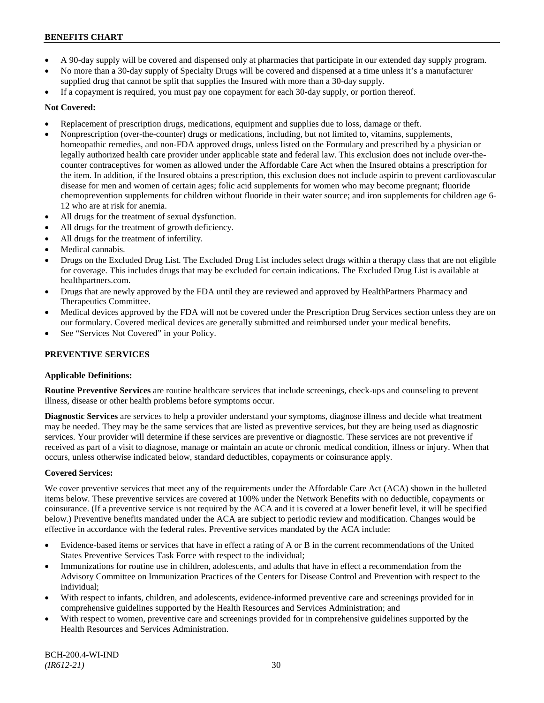- A 90-day supply will be covered and dispensed only at pharmacies that participate in our extended day supply program.
- No more than a 30-day supply of Specialty Drugs will be covered and dispensed at a time unless it's a manufacturer supplied drug that cannot be split that supplies the Insured with more than a 30-day supply.
- If a copayment is required, you must pay one copayment for each 30-day supply, or portion thereof.

# **Not Covered:**

- Replacement of prescription drugs, medications, equipment and supplies due to loss, damage or theft.
- Nonprescription (over-the-counter) drugs or medications, including, but not limited to, vitamins, supplements, homeopathic remedies, and non-FDA approved drugs, unless listed on the Formulary and prescribed by a physician or legally authorized health care provider under applicable state and federal law. This exclusion does not include over-thecounter contraceptives for women as allowed under the Affordable Care Act when the Insured obtains a prescription for the item. In addition, if the Insured obtains a prescription, this exclusion does not include aspirin to prevent cardiovascular disease for men and women of certain ages; folic acid supplements for women who may become pregnant; fluoride chemoprevention supplements for children without fluoride in their water source; and iron supplements for children age 6- 12 who are at risk for anemia.
- All drugs for the treatment of sexual dysfunction.
- All drugs for the treatment of growth deficiency.
- All drugs for the treatment of infertility.
- Medical cannabis.
- Drugs on the Excluded Drug List. The Excluded Drug List includes select drugs within a therapy class that are not eligible for coverage. This includes drugs that may be excluded for certain indications. The Excluded Drug List is available at [healthpartners.com.](http://www.healthpartners.com/)
- Drugs that are newly approved by the FDA until they are reviewed and approved by HealthPartners Pharmacy and Therapeutics Committee.
- Medical devices approved by the FDA will not be covered under the Prescription Drug Services section unless they are on our formulary. Covered medical devices are generally submitted and reimbursed under your medical benefits.
- See "Services Not Covered" in your Policy.

# **PREVENTIVE SERVICES**

#### **Applicable Definitions:**

**Routine Preventive Services** are routine healthcare services that include screenings, check-ups and counseling to prevent illness, disease or other health problems before symptoms occur.

**Diagnostic Services** are services to help a provider understand your symptoms, diagnose illness and decide what treatment may be needed. They may be the same services that are listed as preventive services, but they are being used as diagnostic services. Your provider will determine if these services are preventive or diagnostic. These services are not preventive if received as part of a visit to diagnose, manage or maintain an acute or chronic medical condition, illness or injury. When that occurs, unless otherwise indicated below, standard deductibles, copayments or coinsurance apply.

#### **Covered Services:**

We cover preventive services that meet any of the requirements under the Affordable Care Act (ACA) shown in the bulleted items below. These preventive services are covered at 100% under the Network Benefits with no deductible, copayments or coinsurance. (If a preventive service is not required by the ACA and it is covered at a lower benefit level, it will be specified below.) Preventive benefits mandated under the ACA are subject to periodic review and modification. Changes would be effective in accordance with the federal rules. Preventive services mandated by the ACA include:

- Evidence-based items or services that have in effect a rating of A or B in the current recommendations of the United States Preventive Services Task Force with respect to the individual;
- Immunizations for routine use in children, adolescents, and adults that have in effect a recommendation from the Advisory Committee on Immunization Practices of the Centers for Disease Control and Prevention with respect to the individual;
- With respect to infants, children, and adolescents, evidence-informed preventive care and screenings provided for in comprehensive guidelines supported by the Health Resources and Services Administration; and
- With respect to women, preventive care and screenings provided for in comprehensive guidelines supported by the Health Resources and Services Administration.

BCH-200.4-WI-IND *(IR612-21)* 30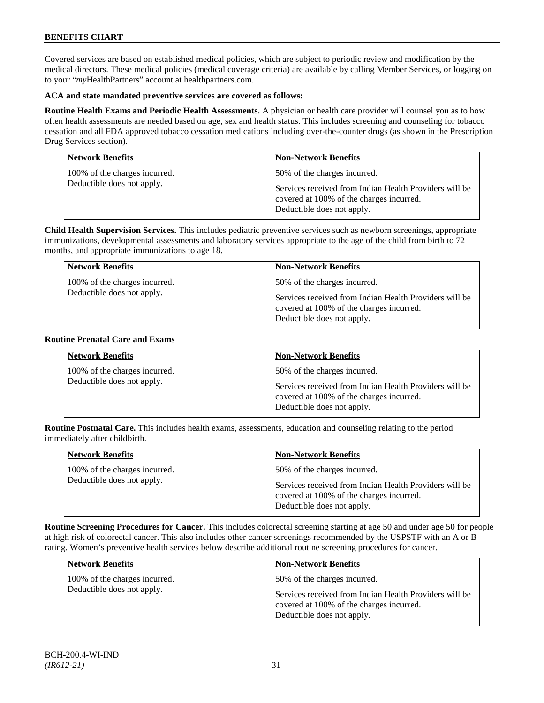Covered services are based on established medical policies, which are subject to periodic review and modification by the medical directors. These medical policies (medical coverage criteria) are available by calling Member Services, or logging on to your "*my*HealthPartners" account at [healthpartners.com.](http://www.healthpartners.com/)

### **ACA and state mandated preventive services are covered as follows:**

**Routine Health Exams and Periodic Health Assessments**. A physician or health care provider will counsel you as to how often health assessments are needed based on age, sex and health status. This includes screening and counseling for tobacco cessation and all FDA approved tobacco cessation medications including over-the-counter drugs (as shown in the Prescription Drug Services section).

| <b>Network Benefits</b>       | Non-Network Benefits                                                                                                             |
|-------------------------------|----------------------------------------------------------------------------------------------------------------------------------|
| 100% of the charges incurred. | 50% of the charges incurred.                                                                                                     |
| Deductible does not apply.    | Services received from Indian Health Providers will be<br>covered at 100% of the charges incurred.<br>Deductible does not apply. |

**Child Health Supervision Services.** This includes pediatric preventive services such as newborn screenings, appropriate immunizations, developmental assessments and laboratory services appropriate to the age of the child from birth to 72 months, and appropriate immunizations to age 18.

| <b>Network Benefits</b>                                     | <b>Non-Network Benefits</b>                                                                                                                                      |
|-------------------------------------------------------------|------------------------------------------------------------------------------------------------------------------------------------------------------------------|
| 100% of the charges incurred.<br>Deductible does not apply. | 50% of the charges incurred.<br>Services received from Indian Health Providers will be<br>covered at 100% of the charges incurred.<br>Deductible does not apply. |
|                                                             |                                                                                                                                                                  |

#### **Routine Prenatal Care and Exams**

| <b>Network Benefits</b>                                     | <b>Non-Network Benefits</b>                                                                                                                                      |
|-------------------------------------------------------------|------------------------------------------------------------------------------------------------------------------------------------------------------------------|
| 100% of the charges incurred.<br>Deductible does not apply. | 50% of the charges incurred.<br>Services received from Indian Health Providers will be<br>covered at 100% of the charges incurred.<br>Deductible does not apply. |

**Routine Postnatal Care.** This includes health exams, assessments, education and counseling relating to the period immediately after childbirth.

| <b>Network Benefits</b>                                     | <b>Non-Network Benefits</b>                                                                                                                                      |
|-------------------------------------------------------------|------------------------------------------------------------------------------------------------------------------------------------------------------------------|
| 100% of the charges incurred.<br>Deductible does not apply. | 50% of the charges incurred.<br>Services received from Indian Health Providers will be<br>covered at 100% of the charges incurred.<br>Deductible does not apply. |

**Routine Screening Procedures for Cancer.** This includes colorectal screening starting at age 50 and under age 50 for people at high risk of colorectal cancer. This also includes other cancer screenings recommended by the USPSTF with an A or B rating. Women's preventive health services below describe additional routine screening procedures for cancer.

| <b>Network Benefits</b>                                     | <b>Non-Network Benefits</b>                                                                                                                                      |
|-------------------------------------------------------------|------------------------------------------------------------------------------------------------------------------------------------------------------------------|
| 100% of the charges incurred.<br>Deductible does not apply. | 50% of the charges incurred.<br>Services received from Indian Health Providers will be<br>covered at 100% of the charges incurred.<br>Deductible does not apply. |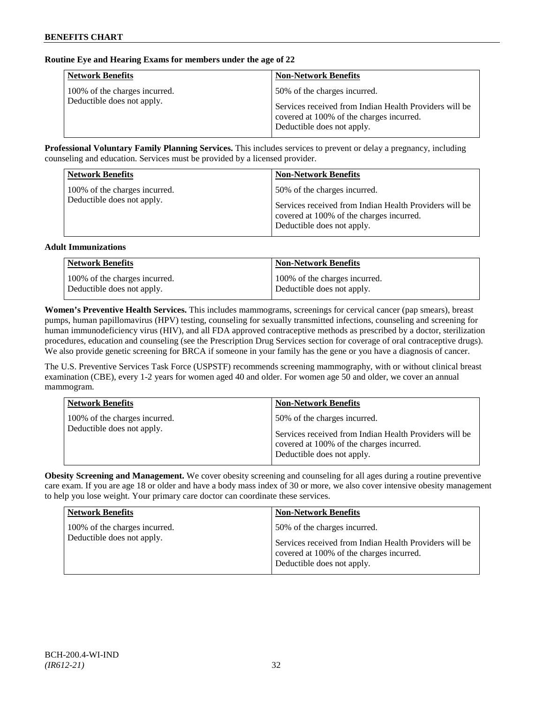# **Routine Eye and Hearing Exams for members under the age of 22**

| <b>Network Benefits</b>                                     | <b>Non-Network Benefits</b>                                                                                                                                      |
|-------------------------------------------------------------|------------------------------------------------------------------------------------------------------------------------------------------------------------------|
| 100% of the charges incurred.<br>Deductible does not apply. | 50% of the charges incurred.<br>Services received from Indian Health Providers will be<br>covered at 100% of the charges incurred.<br>Deductible does not apply. |

**Professional Voluntary Family Planning Services.** This includes services to prevent or delay a pregnancy, including counseling and education. Services must be provided by a licensed provider.

| <b>Network Benefits</b>                                     | <b>Non-Network Benefits</b>                                                                                                                                      |
|-------------------------------------------------------------|------------------------------------------------------------------------------------------------------------------------------------------------------------------|
| 100% of the charges incurred.<br>Deductible does not apply. | 50% of the charges incurred.<br>Services received from Indian Health Providers will be<br>covered at 100% of the charges incurred.<br>Deductible does not apply. |

#### **Adult Immunizations**

| <b>Network Benefits</b>       | <b>Non-Network Benefits</b>   |
|-------------------------------|-------------------------------|
| 100% of the charges incurred. | 100% of the charges incurred. |
| Deductible does not apply.    | Deductible does not apply.    |

**Women's Preventive Health Services.** This includes mammograms, screenings for cervical cancer (pap smears), breast pumps, human papillomavirus (HPV) testing, counseling for sexually transmitted infections, counseling and screening for human immunodeficiency virus (HIV), and all FDA approved contraceptive methods as prescribed by a doctor, sterilization procedures, education and counseling (see the Prescription Drug Services section for coverage of oral contraceptive drugs). We also provide genetic screening for BRCA if someone in your family has the gene or you have a diagnosis of cancer.

The U.S. Preventive Services Task Force (USPSTF) recommends screening mammography, with or without clinical breast examination (CBE), every 1-2 years for women aged 40 and older. For women age 50 and older, we cover an annual mammogram.

| <b>Network Benefits</b>                                     | <b>Non-Network Benefits</b>                                                                                                                                      |
|-------------------------------------------------------------|------------------------------------------------------------------------------------------------------------------------------------------------------------------|
| 100% of the charges incurred.<br>Deductible does not apply. | 50% of the charges incurred.<br>Services received from Indian Health Providers will be<br>covered at 100% of the charges incurred.<br>Deductible does not apply. |

**Obesity Screening and Management.** We cover obesity screening and counseling for all ages during a routine preventive care exam. If you are age 18 or older and have a body mass index of 30 or more, we also cover intensive obesity management to help you lose weight. Your primary care doctor can coordinate these services.

| <b>Network Benefits</b>       | <b>Non-Network Benefits</b>                                                                                                      |
|-------------------------------|----------------------------------------------------------------------------------------------------------------------------------|
| 100% of the charges incurred. | 50% of the charges incurred.                                                                                                     |
| Deductible does not apply.    | Services received from Indian Health Providers will be<br>covered at 100% of the charges incurred.<br>Deductible does not apply. |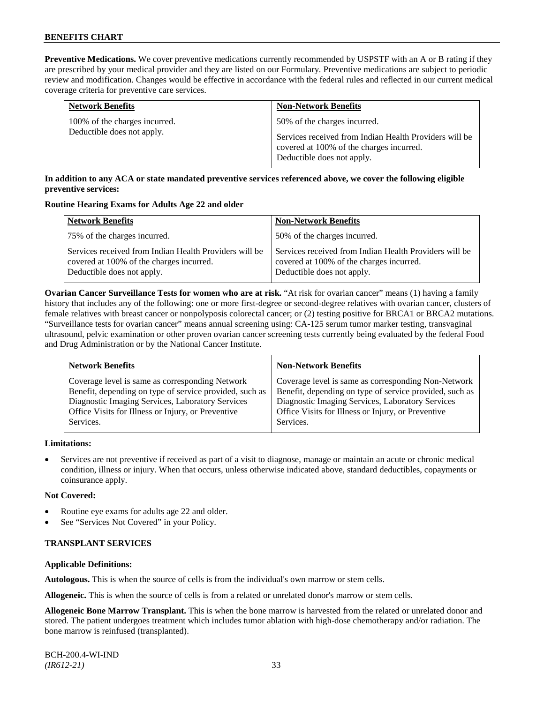**Preventive Medications.** We cover preventive medications currently recommended by USPSTF with an A or B rating if they are prescribed by your medical provider and they are listed on our Formulary. Preventive medications are subject to periodic review and modification. Changes would be effective in accordance with the federal rules and reflected in our current medical coverage criteria for preventive care services.

| <b>Network Benefits</b>       | <b>Non-Network Benefits</b>                                                                                                      |
|-------------------------------|----------------------------------------------------------------------------------------------------------------------------------|
| 100% of the charges incurred. | 50% of the charges incurred.                                                                                                     |
| Deductible does not apply.    | Services received from Indian Health Providers will be<br>covered at 100% of the charges incurred.<br>Deductible does not apply. |

# **In addition to any ACA or state mandated preventive services referenced above, we cover the following eligible preventive services:**

#### **Routine Hearing Exams for Adults Age 22 and older**

| <b>Network Benefits</b>                                                                                                          | <b>Non-Network Benefits</b>                                                                                                      |
|----------------------------------------------------------------------------------------------------------------------------------|----------------------------------------------------------------------------------------------------------------------------------|
| 75% of the charges incurred.                                                                                                     | 50% of the charges incurred.                                                                                                     |
| Services received from Indian Health Providers will be<br>covered at 100% of the charges incurred.<br>Deductible does not apply. | Services received from Indian Health Providers will be<br>covered at 100% of the charges incurred.<br>Deductible does not apply. |

**Ovarian Cancer Surveillance Tests for women who are at risk.** "At risk for ovarian cancer" means (1) having a family history that includes any of the following: one or more first-degree or second-degree relatives with ovarian cancer, clusters of female relatives with breast cancer or nonpolyposis colorectal cancer; or (2) testing positive for BRCA1 or BRCA2 mutations. "Surveillance tests for ovarian cancer" means annual screening using: CA-125 serum tumor marker testing, transvaginal ultrasound, pelvic examination or other proven ovarian cancer screening tests currently being evaluated by the federal Food and Drug Administration or by the National Cancer Institute.

| <b>Network Benefits</b>                                 | <b>Non-Network Benefits</b>                             |
|---------------------------------------------------------|---------------------------------------------------------|
| Coverage level is same as corresponding Network         | Coverage level is same as corresponding Non-Network     |
| Benefit, depending on type of service provided, such as | Benefit, depending on type of service provided, such as |
| Diagnostic Imaging Services, Laboratory Services        | Diagnostic Imaging Services, Laboratory Services        |
| Office Visits for Illness or Injury, or Preventive      | Office Visits for Illness or Injury, or Preventive      |
| Services.                                               | Services.                                               |
|                                                         |                                                         |

# **Limitations:**

• Services are not preventive if received as part of a visit to diagnose, manage or maintain an acute or chronic medical condition, illness or injury. When that occurs, unless otherwise indicated above, standard deductibles, copayments or coinsurance apply.

# **Not Covered:**

- Routine eye exams for adults age 22 and older.
- See "Services Not Covered" in your Policy.

# **TRANSPLANT SERVICES**

# **Applicable Definitions:**

**Autologous.** This is when the source of cells is from the individual's own marrow or stem cells.

**Allogeneic.** This is when the source of cells is from a related or unrelated donor's marrow or stem cells.

**Allogeneic Bone Marrow Transplant.** This is when the bone marrow is harvested from the related or unrelated donor and stored. The patient undergoes treatment which includes tumor ablation with high-dose chemotherapy and/or radiation. The bone marrow is reinfused (transplanted).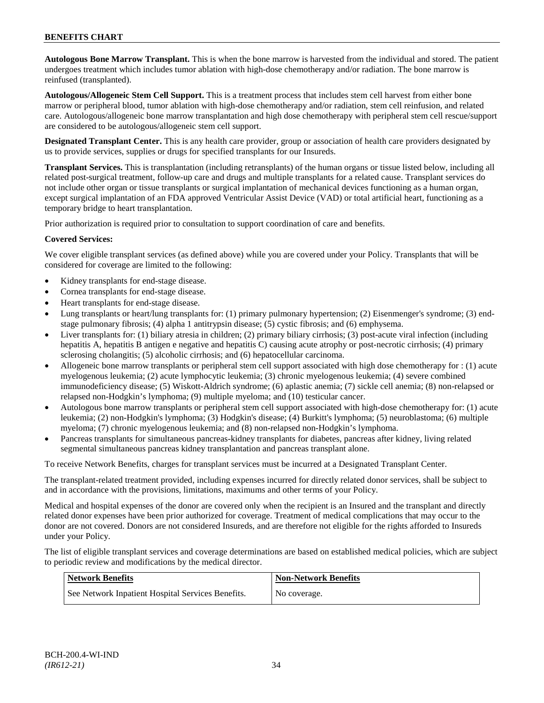**Autologous Bone Marrow Transplant.** This is when the bone marrow is harvested from the individual and stored. The patient undergoes treatment which includes tumor ablation with high-dose chemotherapy and/or radiation. The bone marrow is reinfused (transplanted).

**Autologous/Allogeneic Stem Cell Support.** This is a treatment process that includes stem cell harvest from either bone marrow or peripheral blood, tumor ablation with high-dose chemotherapy and/or radiation, stem cell reinfusion, and related care. Autologous/allogeneic bone marrow transplantation and high dose chemotherapy with peripheral stem cell rescue/support are considered to be autologous/allogeneic stem cell support.

**Designated Transplant Center.** This is any health care provider, group or association of health care providers designated by us to provide services, supplies or drugs for specified transplants for our Insureds.

**Transplant Services.** This is transplantation (including retransplants) of the human organs or tissue listed below, including all related post-surgical treatment, follow-up care and drugs and multiple transplants for a related cause. Transplant services do not include other organ or tissue transplants or surgical implantation of mechanical devices functioning as a human organ, except surgical implantation of an FDA approved Ventricular Assist Device (VAD) or total artificial heart, functioning as a temporary bridge to heart transplantation.

Prior authorization is required prior to consultation to support coordination of care and benefits.

# **Covered Services:**

We cover eligible transplant services (as defined above) while you are covered under your Policy. Transplants that will be considered for coverage are limited to the following:

- Kidney transplants for end-stage disease.
- Cornea transplants for end-stage disease.
- Heart transplants for end-stage disease.
- Lung transplants or heart/lung transplants for: (1) primary pulmonary hypertension; (2) Eisenmenger's syndrome; (3) endstage pulmonary fibrosis; (4) alpha 1 antitrypsin disease; (5) cystic fibrosis; and (6) emphysema.
- Liver transplants for: (1) biliary atresia in children; (2) primary biliary cirrhosis; (3) post-acute viral infection (including hepatitis A, hepatitis B antigen e negative and hepatitis C) causing acute atrophy or post-necrotic cirrhosis; (4) primary sclerosing cholangitis; (5) alcoholic cirrhosis; and (6) hepatocellular carcinoma.
- Allogeneic bone marrow transplants or peripheral stem cell support associated with high dose chemotherapy for : (1) acute myelogenous leukemia; (2) acute lymphocytic leukemia; (3) chronic myelogenous leukemia; (4) severe combined immunodeficiency disease; (5) Wiskott-Aldrich syndrome; (6) aplastic anemia; (7) sickle cell anemia; (8) non-relapsed or relapsed non-Hodgkin's lymphoma; (9) multiple myeloma; and (10) testicular cancer.
- Autologous bone marrow transplants or peripheral stem cell support associated with high-dose chemotherapy for: (1) acute leukemia; (2) non-Hodgkin's lymphoma; (3) Hodgkin's disease; (4) Burkitt's lymphoma; (5) neuroblastoma; (6) multiple myeloma; (7) chronic myelogenous leukemia; and (8) non-relapsed non-Hodgkin's lymphoma.
- Pancreas transplants for simultaneous pancreas-kidney transplants for diabetes, pancreas after kidney, living related segmental simultaneous pancreas kidney transplantation and pancreas transplant alone.

To receive Network Benefits, charges for transplant services must be incurred at a Designated Transplant Center.

The transplant-related treatment provided, including expenses incurred for directly related donor services, shall be subject to and in accordance with the provisions, limitations, maximums and other terms of your Policy.

Medical and hospital expenses of the donor are covered only when the recipient is an Insured and the transplant and directly related donor expenses have been prior authorized for coverage. Treatment of medical complications that may occur to the donor are not covered. Donors are not considered Insureds, and are therefore not eligible for the rights afforded to Insureds under your Policy.

The list of eligible transplant services and coverage determinations are based on established medical policies, which are subject to periodic review and modifications by the medical director.

| Network Benefits                                  | <b>Non-Network Benefits</b> |
|---------------------------------------------------|-----------------------------|
| See Network Inpatient Hospital Services Benefits. | No coverage.                |